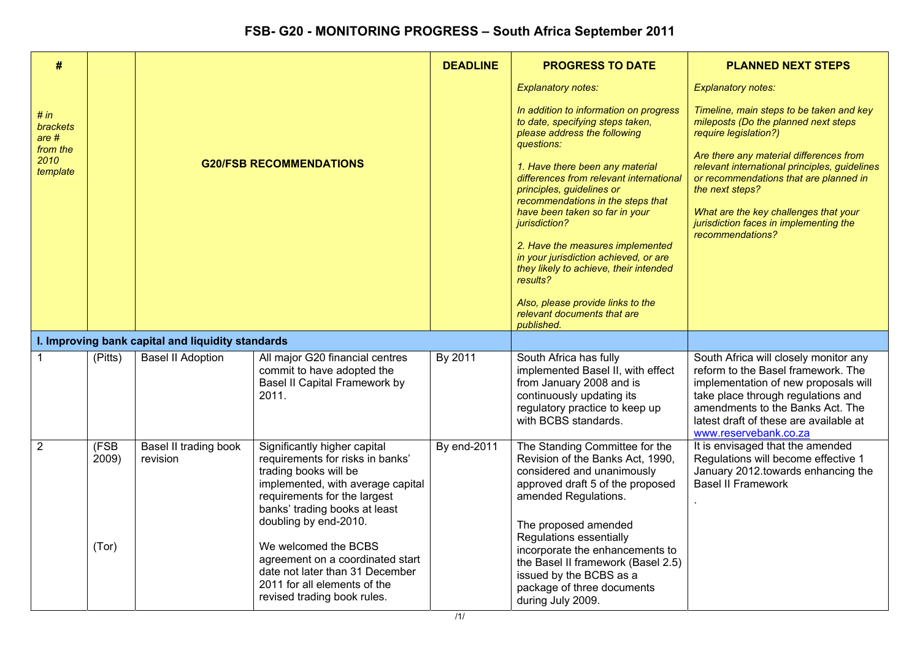| $\#$                                                                 |                        |                                                   |                                                                                                                                                                                                                                                                                                                                                                                        | <b>DEADLINE</b>    | <b>PROGRESS TO DATE</b>                                                                                                                                                                                                                                                                                                                                                                                                                                                                                                                          | <b>PLANNED NEXT STEPS</b>                                                                                                                                                                                                                                                                                                                                                 |
|----------------------------------------------------------------------|------------------------|---------------------------------------------------|----------------------------------------------------------------------------------------------------------------------------------------------------------------------------------------------------------------------------------------------------------------------------------------------------------------------------------------------------------------------------------------|--------------------|--------------------------------------------------------------------------------------------------------------------------------------------------------------------------------------------------------------------------------------------------------------------------------------------------------------------------------------------------------------------------------------------------------------------------------------------------------------------------------------------------------------------------------------------------|---------------------------------------------------------------------------------------------------------------------------------------------------------------------------------------------------------------------------------------------------------------------------------------------------------------------------------------------------------------------------|
|                                                                      |                        |                                                   |                                                                                                                                                                                                                                                                                                                                                                                        |                    | <b>Explanatory notes:</b>                                                                                                                                                                                                                                                                                                                                                                                                                                                                                                                        | <b>Explanatory notes:</b>                                                                                                                                                                                                                                                                                                                                                 |
| # in<br>brackets<br>are <sub>#</sub><br>from the<br>2010<br>template |                        |                                                   | <b>G20/FSB RECOMMENDATIONS</b>                                                                                                                                                                                                                                                                                                                                                         |                    | In addition to information on progress<br>to date, specifying steps taken,<br>please address the following<br>questions:<br>1. Have there been any material<br>differences from relevant international<br>principles, guidelines or<br>recommendations in the steps that<br>have been taken so far in your<br>jurisdiction?<br>2. Have the measures implemented<br>in your jurisdiction achieved, or are<br>they likely to achieve, their intended<br>results?<br>Also, please provide links to the<br>relevant documents that are<br>published. | Timeline, main steps to be taken and key<br>mileposts (Do the planned next steps<br>require legislation?)<br>Are there any material differences from<br>relevant international principles, guidelines<br>or recommendations that are planned in<br>the next steps?<br>What are the key challenges that your<br>jurisdiction faces in implementing the<br>recommendations? |
|                                                                      |                        | I. Improving bank capital and liquidity standards |                                                                                                                                                                                                                                                                                                                                                                                        |                    |                                                                                                                                                                                                                                                                                                                                                                                                                                                                                                                                                  |                                                                                                                                                                                                                                                                                                                                                                           |
|                                                                      | (Pitts)                | <b>Basel II Adoption</b>                          | All major G20 financial centres<br>commit to have adopted the<br>Basel II Capital Framework by<br>2011.                                                                                                                                                                                                                                                                                | By 2011            | South Africa has fully<br>implemented Basel II, with effect<br>from January 2008 and is<br>continuously updating its<br>regulatory practice to keep up<br>with BCBS standards.                                                                                                                                                                                                                                                                                                                                                                   | South Africa will closely monitor any<br>reform to the Basel framework. The<br>implementation of new proposals will<br>take place through regulations and<br>amendments to the Banks Act. The<br>latest draft of these are available at<br>www.reservebank.co.za                                                                                                          |
| $\overline{2}$                                                       | (FSB<br>2009)<br>(Tor) | <b>Basel II trading book</b><br>revision          | Significantly higher capital<br>requirements for risks in banks'<br>trading books will be<br>implemented, with average capital<br>requirements for the largest<br>banks' trading books at least<br>doubling by end-2010.<br>We welcomed the BCBS<br>agreement on a coordinated start<br>date not later than 31 December<br>2011 for all elements of the<br>revised trading book rules. | <b>By end-2011</b> | The Standing Committee for the<br>Revision of the Banks Act, 1990,<br>considered and unanimously<br>approved draft 5 of the proposed<br>amended Regulations.<br>The proposed amended<br>Regulations essentially<br>incorporate the enhancements to<br>the Basel II framework (Basel 2.5)<br>issued by the BCBS as a<br>package of three documents<br>during July 2009.                                                                                                                                                                           | It is envisaged that the amended<br>Regulations will become effective 1<br>January 2012 towards enhancing the<br><b>Basel II Framework</b>                                                                                                                                                                                                                                |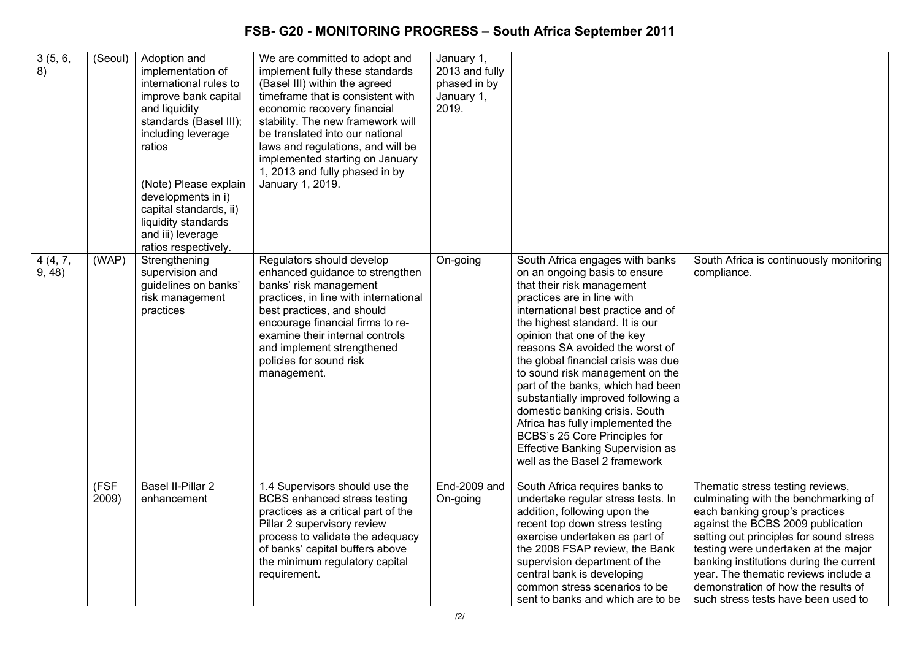| 3(5, 6,<br>8)     | (Seoul)       | Adoption and<br>implementation of<br>international rules to<br>improve bank capital<br>and liquidity<br>standards (Basel III);<br>including leverage<br>ratios<br>(Note) Please explain<br>developments in i)<br>capital standards, ii)<br>liquidity standards<br>and iii) leverage<br>ratios respectively. | We are committed to adopt and<br>implement fully these standards<br>(Basel III) within the agreed<br>timeframe that is consistent with<br>economic recovery financial<br>stability. The new framework will<br>be translated into our national<br>laws and regulations, and will be<br>implemented starting on January<br>1, 2013 and fully phased in by<br>January 1, 2019. | January 1,<br>2013 and fully<br>phased in by<br>January 1,<br>2019. |                                                                                                                                                                                                                                                                                                                                                                                                                                                                                                                                                                                                                 |                                                                                                                                                                                                                                                                                                                                                                                                     |
|-------------------|---------------|-------------------------------------------------------------------------------------------------------------------------------------------------------------------------------------------------------------------------------------------------------------------------------------------------------------|-----------------------------------------------------------------------------------------------------------------------------------------------------------------------------------------------------------------------------------------------------------------------------------------------------------------------------------------------------------------------------|---------------------------------------------------------------------|-----------------------------------------------------------------------------------------------------------------------------------------------------------------------------------------------------------------------------------------------------------------------------------------------------------------------------------------------------------------------------------------------------------------------------------------------------------------------------------------------------------------------------------------------------------------------------------------------------------------|-----------------------------------------------------------------------------------------------------------------------------------------------------------------------------------------------------------------------------------------------------------------------------------------------------------------------------------------------------------------------------------------------------|
| 4(4, 7,<br>9, 48) | (WAP)         | Strengthening<br>supervision and<br>guidelines on banks'<br>risk management<br>practices                                                                                                                                                                                                                    | Regulators should develop<br>enhanced guidance to strengthen<br>banks' risk management<br>practices, in line with international<br>best practices, and should<br>encourage financial firms to re-<br>examine their internal controls<br>and implement strengthened<br>policies for sound risk<br>management.                                                                | On-going                                                            | South Africa engages with banks<br>on an ongoing basis to ensure<br>that their risk management<br>practices are in line with<br>international best practice and of<br>the highest standard. It is our<br>opinion that one of the key<br>reasons SA avoided the worst of<br>the global financial crisis was due<br>to sound risk management on the<br>part of the banks, which had been<br>substantially improved following a<br>domestic banking crisis. South<br>Africa has fully implemented the<br>BCBS's 25 Core Principles for<br><b>Effective Banking Supervision as</b><br>well as the Basel 2 framework | South Africa is continuously monitoring<br>compliance.                                                                                                                                                                                                                                                                                                                                              |
|                   | (FSF<br>2009) | <b>Basel II-Pillar 2</b><br>enhancement                                                                                                                                                                                                                                                                     | 1.4 Supervisors should use the<br><b>BCBS</b> enhanced stress testing<br>practices as a critical part of the<br>Pillar 2 supervisory review<br>process to validate the adequacy<br>of banks' capital buffers above<br>the minimum regulatory capital<br>requirement.                                                                                                        | End-2009 and<br>On-going                                            | South Africa requires banks to<br>undertake regular stress tests. In<br>addition, following upon the<br>recent top down stress testing<br>exercise undertaken as part of<br>the 2008 FSAP review, the Bank<br>supervision department of the<br>central bank is developing<br>common stress scenarios to be<br>sent to banks and which are to be                                                                                                                                                                                                                                                                 | Thematic stress testing reviews,<br>culminating with the benchmarking of<br>each banking group's practices<br>against the BCBS 2009 publication<br>setting out principles for sound stress<br>testing were undertaken at the major<br>banking institutions during the current<br>year. The thematic reviews include a<br>demonstration of how the results of<br>such stress tests have been used to |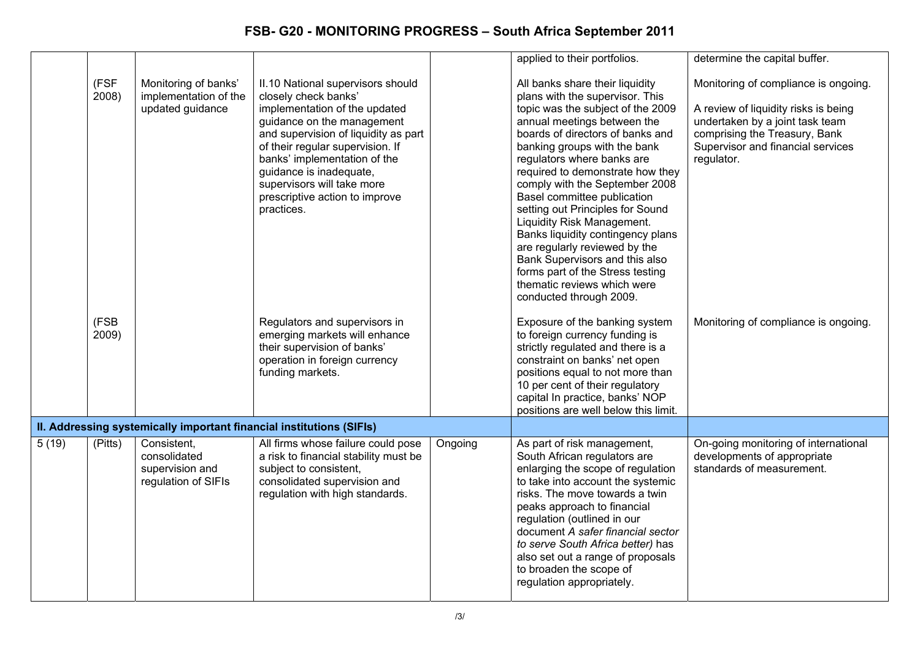|       |               |                                                                       |                                                                                                                                                                                                                                                                                                                                               |         | applied to their portfolios.                                                                                                                                                                                                                                                                                                                                                                                                                                                                                                                                                                                          | determine the capital buffer.                                                                                                                                                                       |
|-------|---------------|-----------------------------------------------------------------------|-----------------------------------------------------------------------------------------------------------------------------------------------------------------------------------------------------------------------------------------------------------------------------------------------------------------------------------------------|---------|-----------------------------------------------------------------------------------------------------------------------------------------------------------------------------------------------------------------------------------------------------------------------------------------------------------------------------------------------------------------------------------------------------------------------------------------------------------------------------------------------------------------------------------------------------------------------------------------------------------------------|-----------------------------------------------------------------------------------------------------------------------------------------------------------------------------------------------------|
|       | (FSF<br>2008) | Monitoring of banks'<br>implementation of the<br>updated guidance     | II.10 National supervisors should<br>closely check banks'<br>implementation of the updated<br>guidance on the management<br>and supervision of liquidity as part<br>of their regular supervision. If<br>banks' implementation of the<br>guidance is inadequate,<br>supervisors will take more<br>prescriptive action to improve<br>practices. |         | All banks share their liquidity<br>plans with the supervisor. This<br>topic was the subject of the 2009<br>annual meetings between the<br>boards of directors of banks and<br>banking groups with the bank<br>regulators where banks are<br>required to demonstrate how they<br>comply with the September 2008<br>Basel committee publication<br>setting out Principles for Sound<br>Liquidity Risk Management.<br>Banks liquidity contingency plans<br>are regularly reviewed by the<br>Bank Supervisors and this also<br>forms part of the Stress testing<br>thematic reviews which were<br>conducted through 2009. | Monitoring of compliance is ongoing.<br>A review of liquidity risks is being<br>undertaken by a joint task team<br>comprising the Treasury, Bank<br>Supervisor and financial services<br>regulator. |
|       | (FSB<br>2009) |                                                                       | Regulators and supervisors in<br>emerging markets will enhance<br>their supervision of banks'<br>operation in foreign currency<br>funding markets.                                                                                                                                                                                            |         | Exposure of the banking system<br>to foreign currency funding is<br>strictly regulated and there is a<br>constraint on banks' net open<br>positions equal to not more than<br>10 per cent of their regulatory<br>capital In practice, banks' NOP<br>positions are well below this limit.                                                                                                                                                                                                                                                                                                                              | Monitoring of compliance is ongoing.                                                                                                                                                                |
|       |               |                                                                       | II. Addressing systemically important financial institutions (SIFIs)                                                                                                                                                                                                                                                                          |         |                                                                                                                                                                                                                                                                                                                                                                                                                                                                                                                                                                                                                       |                                                                                                                                                                                                     |
| 5(19) | (Pitts)       | Consistent.<br>consolidated<br>supervision and<br>regulation of SIFIs | All firms whose failure could pose<br>a risk to financial stability must be<br>subject to consistent,<br>consolidated supervision and<br>regulation with high standards.                                                                                                                                                                      | Ongoing | As part of risk management,<br>South African regulators are<br>enlarging the scope of regulation<br>to take into account the systemic<br>risks. The move towards a twin<br>peaks approach to financial<br>regulation (outlined in our<br>document A safer financial sector<br>to serve South Africa better) has<br>also set out a range of proposals<br>to broaden the scope of<br>regulation appropriately.                                                                                                                                                                                                          | On-going monitoring of international<br>developments of appropriate<br>standards of measurement.                                                                                                    |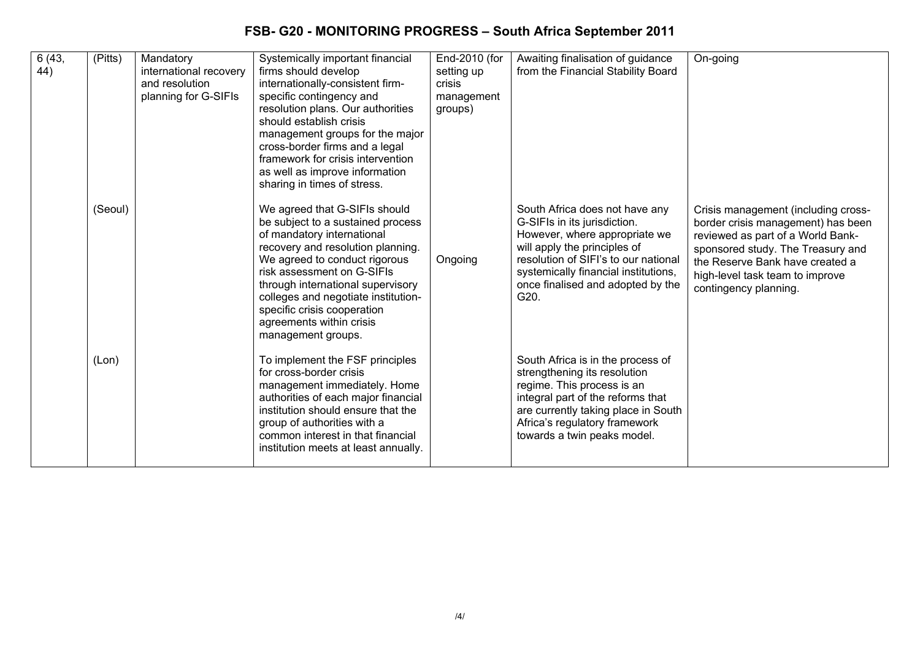| 6(43,<br>44) | (Pitts) | Mandatory<br>international recovery<br>and resolution<br>planning for G-SIFIs | Systemically important financial<br>firms should develop<br>internationally-consistent firm-<br>specific contingency and<br>resolution plans. Our authorities<br>should establish crisis<br>management groups for the major<br>cross-border firms and a legal<br>framework for crisis intervention<br>as well as improve information                                                             | End-2010 (for<br>setting up<br>crisis<br>management<br>groups) | Awaiting finalisation of guidance<br>from the Financial Stability Board                                                                                                                                                                                      | On-going                                                                                                                                                                                                                                           |
|--------------|---------|-------------------------------------------------------------------------------|--------------------------------------------------------------------------------------------------------------------------------------------------------------------------------------------------------------------------------------------------------------------------------------------------------------------------------------------------------------------------------------------------|----------------------------------------------------------------|--------------------------------------------------------------------------------------------------------------------------------------------------------------------------------------------------------------------------------------------------------------|----------------------------------------------------------------------------------------------------------------------------------------------------------------------------------------------------------------------------------------------------|
|              | (Seoul) |                                                                               | sharing in times of stress.<br>We agreed that G-SIFIs should<br>be subject to a sustained process<br>of mandatory international<br>recovery and resolution planning.<br>We agreed to conduct rigorous<br>risk assessment on G-SIFIs<br>through international supervisory<br>colleges and negotiate institution-<br>specific crisis cooperation<br>agreements within crisis<br>management groups. | Ongoing                                                        | South Africa does not have any<br>G-SIFIs in its jurisdiction.<br>However, where appropriate we<br>will apply the principles of<br>resolution of SIFI's to our national<br>systemically financial institutions,<br>once finalised and adopted by the<br>G20. | Crisis management (including cross-<br>border crisis management) has been<br>reviewed as part of a World Bank-<br>sponsored study. The Treasury and<br>the Reserve Bank have created a<br>high-level task team to improve<br>contingency planning. |
|              | (Lon)   |                                                                               | To implement the FSF principles<br>for cross-border crisis<br>management immediately. Home<br>authorities of each major financial<br>institution should ensure that the<br>group of authorities with a<br>common interest in that financial<br>institution meets at least annually.                                                                                                              |                                                                | South Africa is in the process of<br>strengthening its resolution<br>regime. This process is an<br>integral part of the reforms that<br>are currently taking place in South<br>Africa's regulatory framework<br>towards a twin peaks model.                  |                                                                                                                                                                                                                                                    |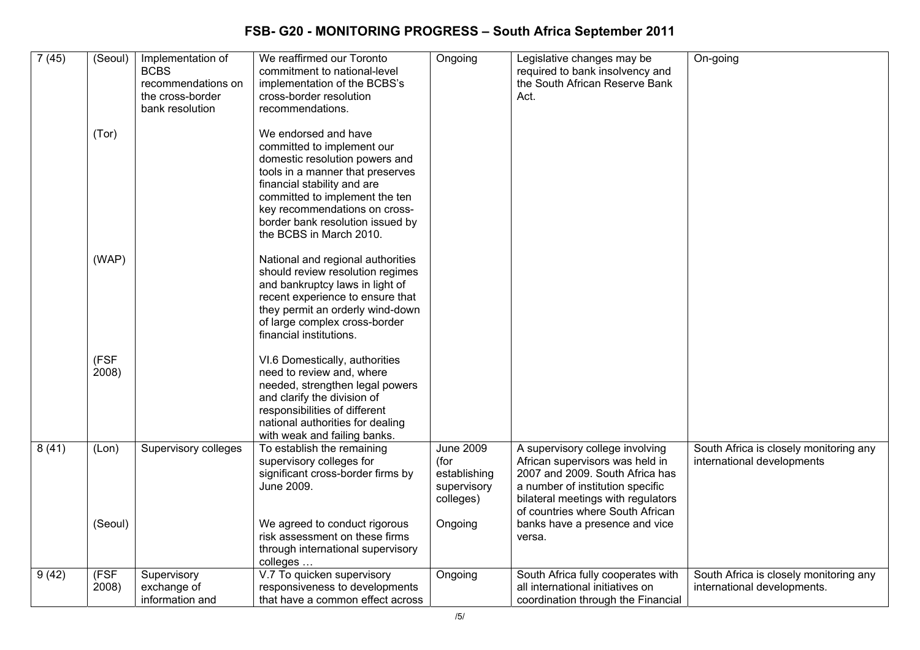| 7(45) | (Seoul)       | Implementation of<br><b>BCBS</b><br>recommendations on<br>the cross-border<br>bank resolution | We reaffirmed our Toronto<br>commitment to national-level<br>implementation of the BCBS's<br>cross-border resolution<br>recommendations.                                                                                                                                                  | Ongoing                                                              | Legislative changes may be<br>required to bank insolvency and<br>the South African Reserve Bank<br>Act.                                                                                                             | On-going                                                              |
|-------|---------------|-----------------------------------------------------------------------------------------------|-------------------------------------------------------------------------------------------------------------------------------------------------------------------------------------------------------------------------------------------------------------------------------------------|----------------------------------------------------------------------|---------------------------------------------------------------------------------------------------------------------------------------------------------------------------------------------------------------------|-----------------------------------------------------------------------|
|       | (Tor)         |                                                                                               | We endorsed and have<br>committed to implement our<br>domestic resolution powers and<br>tools in a manner that preserves<br>financial stability and are<br>committed to implement the ten<br>key recommendations on cross-<br>border bank resolution issued by<br>the BCBS in March 2010. |                                                                      |                                                                                                                                                                                                                     |                                                                       |
|       | (WAP)         |                                                                                               | National and regional authorities<br>should review resolution regimes<br>and bankruptcy laws in light of<br>recent experience to ensure that<br>they permit an orderly wind-down<br>of large complex cross-border<br>financial institutions.                                              |                                                                      |                                                                                                                                                                                                                     |                                                                       |
|       | (FSF<br>2008) |                                                                                               | VI.6 Domestically, authorities<br>need to review and, where<br>needed, strengthen legal powers<br>and clarify the division of<br>responsibilities of different<br>national authorities for dealing<br>with weak and failing banks.                                                        |                                                                      |                                                                                                                                                                                                                     |                                                                       |
| 8(41) | (Lon)         | <b>Supervisory colleges</b>                                                                   | To establish the remaining<br>supervisory colleges for<br>significant cross-border firms by<br>June 2009.                                                                                                                                                                                 | <b>June 2009</b><br>(for<br>establishing<br>supervisory<br>colleges) | A supervisory college involving<br>African supervisors was held in<br>2007 and 2009. South Africa has<br>a number of institution specific<br>bilateral meetings with regulators<br>of countries where South African | South Africa is closely monitoring any<br>international developments  |
|       | (Seoul)       |                                                                                               | We agreed to conduct rigorous<br>risk assessment on these firms<br>through international supervisory<br>colleges                                                                                                                                                                          | Ongoing                                                              | banks have a presence and vice<br>versa.                                                                                                                                                                            |                                                                       |
| 9(42) | (FSF<br>2008) | Supervisory<br>exchange of<br>information and                                                 | V.7 To quicken supervisory<br>responsiveness to developments<br>that have a common effect across                                                                                                                                                                                          | Ongoing                                                              | South Africa fully cooperates with<br>all international initiatives on<br>coordination through the Financial                                                                                                        | South Africa is closely monitoring any<br>international developments. |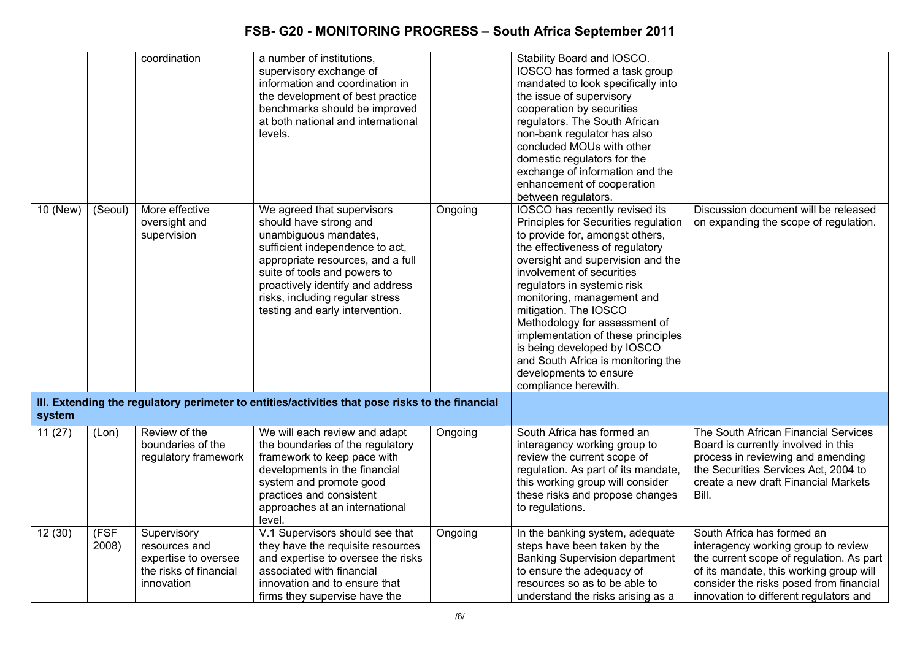|          |               | coordination                                                                                 | a number of institutions,<br>supervisory exchange of<br>information and coordination in<br>the development of best practice<br>benchmarks should be improved<br>at both national and international<br>levels.                                                                                   |         | Stability Board and IOSCO.<br>IOSCO has formed a task group<br>mandated to look specifically into<br>the issue of supervisory<br>cooperation by securities<br>regulators. The South African<br>non-bank regulator has also<br>concluded MOUs with other<br>domestic regulators for the<br>exchange of information and the<br>enhancement of cooperation<br>between regulators.                                                                                                                            |                                                                                                                                                                                                                                               |
|----------|---------------|----------------------------------------------------------------------------------------------|-------------------------------------------------------------------------------------------------------------------------------------------------------------------------------------------------------------------------------------------------------------------------------------------------|---------|-----------------------------------------------------------------------------------------------------------------------------------------------------------------------------------------------------------------------------------------------------------------------------------------------------------------------------------------------------------------------------------------------------------------------------------------------------------------------------------------------------------|-----------------------------------------------------------------------------------------------------------------------------------------------------------------------------------------------------------------------------------------------|
| 10 (New) | (Seoul)       | More effective<br>oversight and<br>supervision                                               | We agreed that supervisors<br>should have strong and<br>unambiguous mandates,<br>sufficient independence to act,<br>appropriate resources, and a full<br>suite of tools and powers to<br>proactively identify and address<br>risks, including regular stress<br>testing and early intervention. | Ongoing | <b>IOSCO</b> has recently revised its<br>Principles for Securities regulation<br>to provide for, amongst others,<br>the effectiveness of regulatory<br>oversight and supervision and the<br>involvement of securities<br>regulators in systemic risk<br>monitoring, management and<br>mitigation. The IOSCO<br>Methodology for assessment of<br>implementation of these principles<br>is being developed by IOSCO<br>and South Africa is monitoring the<br>developments to ensure<br>compliance herewith. | Discussion document will be released<br>on expanding the scope of regulation.                                                                                                                                                                 |
| system   |               |                                                                                              | III. Extending the regulatory perimeter to entities/activities that pose risks to the financial                                                                                                                                                                                                 |         |                                                                                                                                                                                                                                                                                                                                                                                                                                                                                                           |                                                                                                                                                                                                                                               |
| 11(27)   | (Lon)         | Review of the<br>boundaries of the<br>regulatory framework                                   | We will each review and adapt<br>the boundaries of the regulatory<br>framework to keep pace with<br>developments in the financial<br>system and promote good<br>practices and consistent<br>approaches at an international<br>level.                                                            | Ongoing | South Africa has formed an<br>interagency working group to<br>review the current scope of<br>regulation. As part of its mandate,<br>this working group will consider<br>these risks and propose changes<br>to regulations.                                                                                                                                                                                                                                                                                | The South African Financial Services<br>Board is currently involved in this<br>process in reviewing and amending<br>the Securities Services Act, 2004 to<br>create a new draft Financial Markets<br>Bill.                                     |
| 12(30)   | (FSF<br>2008) | Supervisory<br>resources and<br>expertise to oversee<br>the risks of financial<br>innovation | V.1 Supervisors should see that<br>they have the requisite resources<br>and expertise to oversee the risks<br>associated with financial<br>innovation and to ensure that<br>firms they supervise have the                                                                                       | Ongoing | In the banking system, adequate<br>steps have been taken by the<br><b>Banking Supervision department</b><br>to ensure the adequacy of<br>resources so as to be able to<br>understand the risks arising as a                                                                                                                                                                                                                                                                                               | South Africa has formed an<br>interagency working group to review<br>the current scope of regulation. As part<br>of its mandate, this working group will<br>consider the risks posed from financial<br>innovation to different regulators and |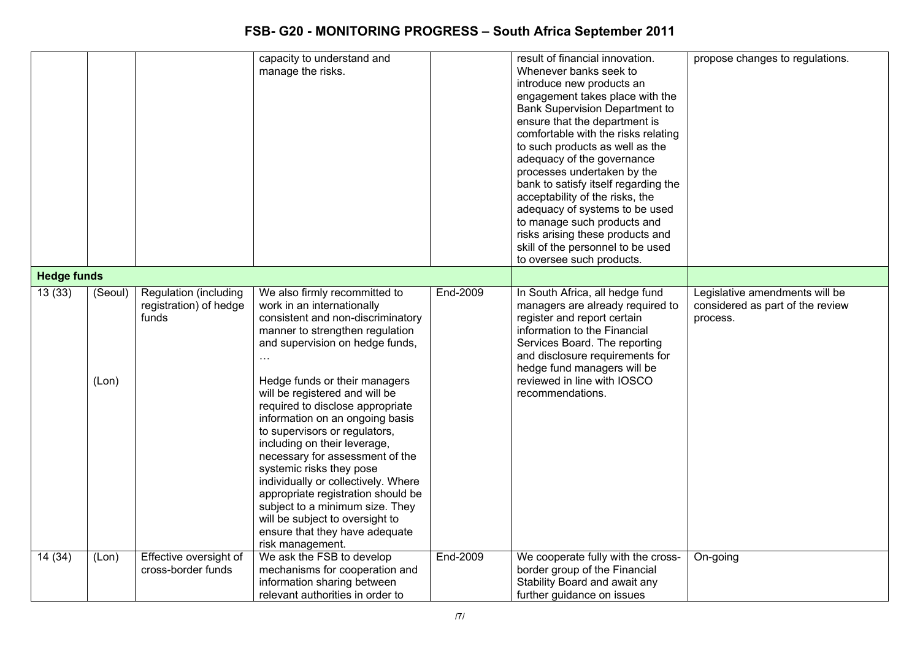|                    |                  |                                                                                    | capacity to understand and<br>manage the risks.                                                                                                                                                                                                                                                                                                                                                                                                                                                                                                                                                                                                                                                    |                      | result of financial innovation.<br>Whenever banks seek to<br>introduce new products an<br>engagement takes place with the<br><b>Bank Supervision Department to</b><br>ensure that the department is<br>comfortable with the risks relating<br>to such products as well as the<br>adequacy of the governance<br>processes undertaken by the<br>bank to satisfy itself regarding the<br>acceptability of the risks, the<br>adequacy of systems to be used<br>to manage such products and<br>risks arising these products and<br>skill of the personnel to be used<br>to oversee such products. | propose changes to regulations.                                                |
|--------------------|------------------|------------------------------------------------------------------------------------|----------------------------------------------------------------------------------------------------------------------------------------------------------------------------------------------------------------------------------------------------------------------------------------------------------------------------------------------------------------------------------------------------------------------------------------------------------------------------------------------------------------------------------------------------------------------------------------------------------------------------------------------------------------------------------------------------|----------------------|----------------------------------------------------------------------------------------------------------------------------------------------------------------------------------------------------------------------------------------------------------------------------------------------------------------------------------------------------------------------------------------------------------------------------------------------------------------------------------------------------------------------------------------------------------------------------------------------|--------------------------------------------------------------------------------|
| <b>Hedge funds</b> |                  |                                                                                    |                                                                                                                                                                                                                                                                                                                                                                                                                                                                                                                                                                                                                                                                                                    |                      |                                                                                                                                                                                                                                                                                                                                                                                                                                                                                                                                                                                              |                                                                                |
| 13(33)             | (Seoul)<br>(Lon) | Regulation (including<br>registration) of hedge<br>funds<br>Effective oversight of | We also firmly recommitted to<br>work in an internationally<br>consistent and non-discriminatory<br>manner to strengthen regulation<br>and supervision on hedge funds,<br>$\ldots$<br>Hedge funds or their managers<br>will be registered and will be<br>required to disclose appropriate<br>information on an ongoing basis<br>to supervisors or regulators,<br>including on their leverage,<br>necessary for assessment of the<br>systemic risks they pose<br>individually or collectively. Where<br>appropriate registration should be<br>subject to a minimum size. They<br>will be subject to oversight to<br>ensure that they have adequate<br>risk management.<br>We ask the FSB to develop | End-2009<br>End-2009 | In South Africa, all hedge fund<br>managers are already required to<br>register and report certain<br>information to the Financial<br>Services Board. The reporting<br>and disclosure requirements for<br>hedge fund managers will be<br>reviewed in line with IOSCO<br>recommendations.                                                                                                                                                                                                                                                                                                     | Legislative amendments will be<br>considered as part of the review<br>process. |
| 14 (34)            | (Lon)            | cross-border funds                                                                 | mechanisms for cooperation and<br>information sharing between<br>relevant authorities in order to                                                                                                                                                                                                                                                                                                                                                                                                                                                                                                                                                                                                  |                      | We cooperate fully with the cross-<br>border group of the Financial<br>Stability Board and await any<br>further guidance on issues                                                                                                                                                                                                                                                                                                                                                                                                                                                           | On-going                                                                       |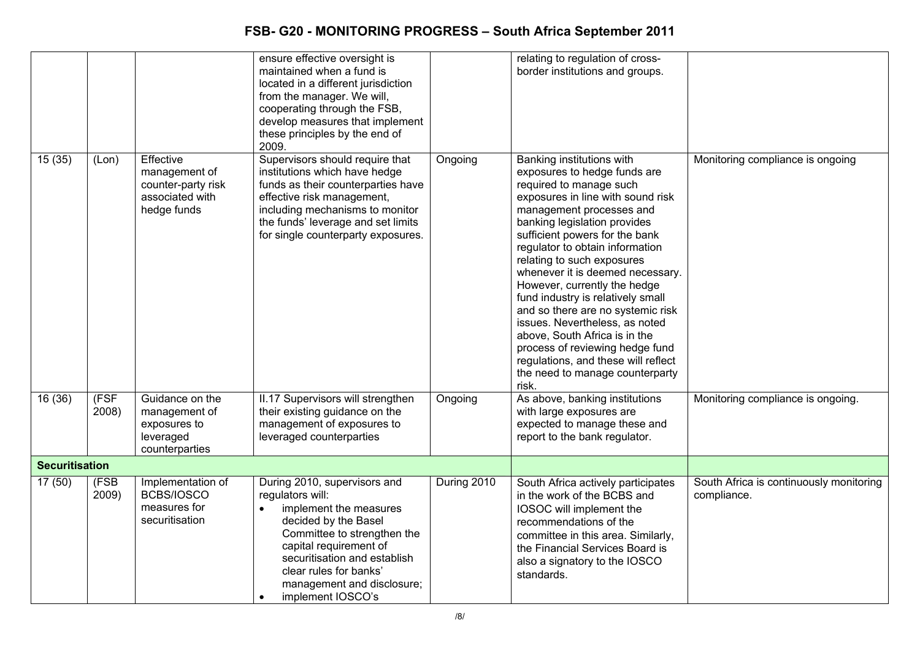|                       |               |                                                                                    | ensure effective oversight is<br>maintained when a fund is<br>located in a different jurisdiction<br>from the manager. We will,<br>cooperating through the FSB,<br>develop measures that implement<br>these principles by the end of<br>2009.                                                      |             | relating to regulation of cross-<br>border institutions and groups.                                                                                                                                                                                                                                                                                                                                                                                                                                                                                                                                                             |                                                        |
|-----------------------|---------------|------------------------------------------------------------------------------------|----------------------------------------------------------------------------------------------------------------------------------------------------------------------------------------------------------------------------------------------------------------------------------------------------|-------------|---------------------------------------------------------------------------------------------------------------------------------------------------------------------------------------------------------------------------------------------------------------------------------------------------------------------------------------------------------------------------------------------------------------------------------------------------------------------------------------------------------------------------------------------------------------------------------------------------------------------------------|--------------------------------------------------------|
| 15(35)                | (Lon)         | Effective<br>management of<br>counter-party risk<br>associated with<br>hedge funds | Supervisors should require that<br>institutions which have hedge<br>funds as their counterparties have<br>effective risk management,<br>including mechanisms to monitor<br>the funds' leverage and set limits<br>for single counterparty exposures.                                                | Ongoing     | Banking institutions with<br>exposures to hedge funds are<br>required to manage such<br>exposures in line with sound risk<br>management processes and<br>banking legislation provides<br>sufficient powers for the bank<br>regulator to obtain information<br>relating to such exposures<br>whenever it is deemed necessary.<br>However, currently the hedge<br>fund industry is relatively small<br>and so there are no systemic risk<br>issues. Nevertheless, as noted<br>above, South Africa is in the<br>process of reviewing hedge fund<br>regulations, and these will reflect<br>the need to manage counterparty<br>risk. | Monitoring compliance is ongoing                       |
| 16(36)                | (FSF<br>2008) | Guidance on the<br>management of<br>exposures to<br>leveraged<br>counterparties    | II.17 Supervisors will strengthen<br>their existing guidance on the<br>management of exposures to<br>leveraged counterparties                                                                                                                                                                      | Ongoing     | As above, banking institutions<br>with large exposures are<br>expected to manage these and<br>report to the bank regulator.                                                                                                                                                                                                                                                                                                                                                                                                                                                                                                     | Monitoring compliance is ongoing.                      |
| <b>Securitisation</b> |               |                                                                                    |                                                                                                                                                                                                                                                                                                    |             |                                                                                                                                                                                                                                                                                                                                                                                                                                                                                                                                                                                                                                 |                                                        |
| 17(50)                | (FSB<br>2009) | Implementation of<br>BCBS/IOSCO<br>measures for<br>securitisation                  | During 2010, supervisors and<br>regulators will:<br>implement the measures<br>$\bullet$<br>decided by the Basel<br>Committee to strengthen the<br>capital requirement of<br>securitisation and establish<br>clear rules for banks'<br>management and disclosure;<br>implement IOSCO's<br>$\bullet$ | During 2010 | South Africa actively participates<br>in the work of the BCBS and<br>IOSOC will implement the<br>recommendations of the<br>committee in this area. Similarly,<br>the Financial Services Board is<br>also a signatory to the IOSCO<br>standards.                                                                                                                                                                                                                                                                                                                                                                                 | South Africa is continuously monitoring<br>compliance. |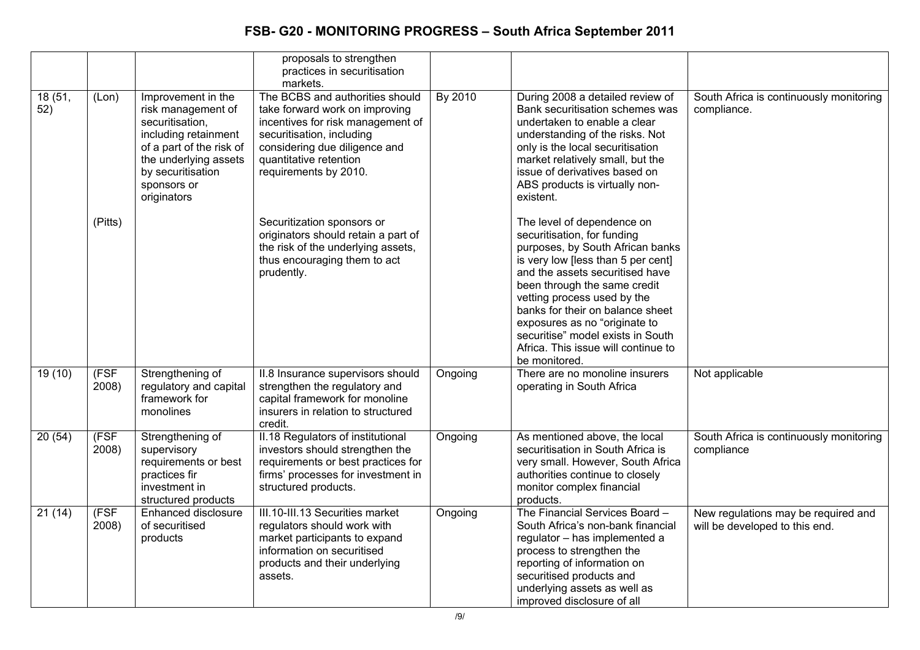|               |               |                                                                                                                                                                                             | proposals to strengthen<br>practices in securitisation<br>markets.                                                                                                                                                      |         |                                                                                                                                                                                                                                                                                                                                                                                                         |                                                                       |
|---------------|---------------|---------------------------------------------------------------------------------------------------------------------------------------------------------------------------------------------|-------------------------------------------------------------------------------------------------------------------------------------------------------------------------------------------------------------------------|---------|---------------------------------------------------------------------------------------------------------------------------------------------------------------------------------------------------------------------------------------------------------------------------------------------------------------------------------------------------------------------------------------------------------|-----------------------------------------------------------------------|
| 18(51,<br>52) | (Lon)         | Improvement in the<br>risk management of<br>securitisation,<br>including retainment<br>of a part of the risk of<br>the underlying assets<br>by securitisation<br>sponsors or<br>originators | The BCBS and authorities should<br>take forward work on improving<br>incentives for risk management of<br>securitisation, including<br>considering due diligence and<br>quantitative retention<br>requirements by 2010. | By 2010 | During 2008 a detailed review of<br>Bank securitisation schemes was<br>undertaken to enable a clear<br>understanding of the risks. Not<br>only is the local securitisation<br>market relatively small, but the<br>issue of derivatives based on<br>ABS products is virtually non-<br>existent.                                                                                                          | South Africa is continuously monitoring<br>compliance.                |
|               | (Pitts)       |                                                                                                                                                                                             | Securitization sponsors or<br>originators should retain a part of<br>the risk of the underlying assets,<br>thus encouraging them to act<br>prudently.                                                                   |         | The level of dependence on<br>securitisation, for funding<br>purposes, by South African banks<br>is very low [less than 5 per cent]<br>and the assets securitised have<br>been through the same credit<br>vetting process used by the<br>banks for their on balance sheet<br>exposures as no "originate to<br>securitise" model exists in South<br>Africa. This issue will continue to<br>be monitored. |                                                                       |
| 19(10)        | (FSF<br>2008) | Strengthening of<br>regulatory and capital<br>framework for<br>monolines                                                                                                                    | II.8 Insurance supervisors should<br>strengthen the regulatory and<br>capital framework for monoline<br>insurers in relation to structured<br>credit.                                                                   | Ongoing | There are no monoline insurers<br>operating in South Africa                                                                                                                                                                                                                                                                                                                                             | Not applicable                                                        |
| 20(54)        | (FSF<br>2008) | Strengthening of<br>supervisory<br>requirements or best<br>practices fir<br>investment in<br>structured products                                                                            | II.18 Regulators of institutional<br>investors should strengthen the<br>requirements or best practices for<br>firms' processes for investment in<br>structured products.                                                | Ongoing | As mentioned above, the local<br>securitisation in South Africa is<br>very small. However, South Africa<br>authorities continue to closely<br>monitor complex financial<br>products.                                                                                                                                                                                                                    | South Africa is continuously monitoring<br>compliance                 |
| 21(14)        | (FSF<br>2008) | <b>Enhanced disclosure</b><br>of securitised<br>products                                                                                                                                    | III.10-III.13 Securities market<br>regulators should work with<br>market participants to expand<br>information on securitised<br>products and their underlying<br>assets.                                               | Ongoing | The Financial Services Board -<br>South Africa's non-bank financial<br>regulator - has implemented a<br>process to strengthen the<br>reporting of information on<br>securitised products and<br>underlying assets as well as<br>improved disclosure of all                                                                                                                                              | New regulations may be required and<br>will be developed to this end. |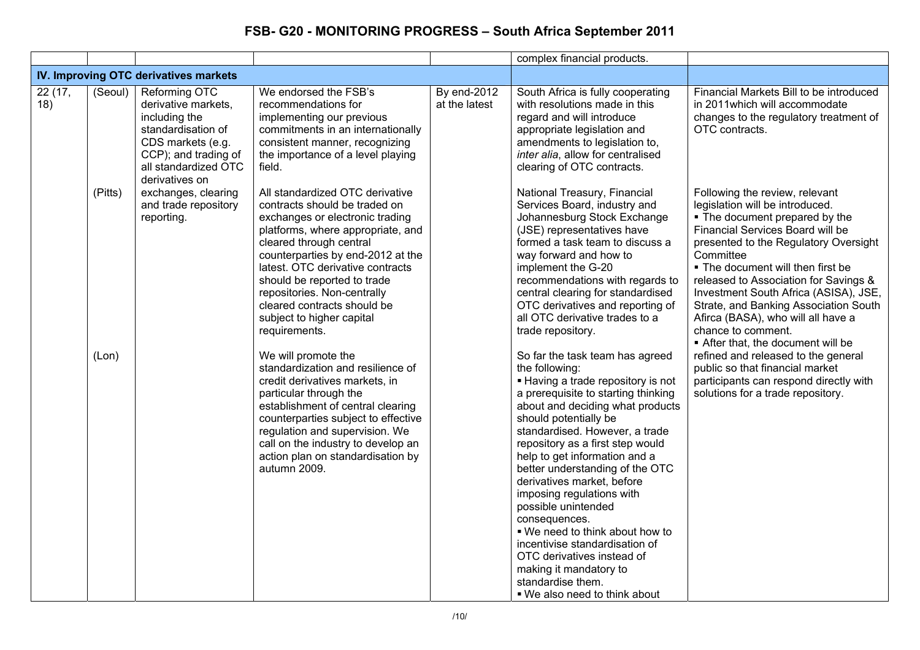|                |                  |                                                                                                                                                  |                                                                                                                                                                                                                                                                                                                                                                                                                                                                                                                                                                                                                                                                                                                          |                              | complex financial products.                                                                                                                                                                                                                                                                                                                                                                                                                                                                                                                                                                                                                                                                                                                                                                                                                                                                                                                                                                                    |                                                                                                                                                                                                                                                                                                                                                                                                                                                                                                                                                                                                                        |
|----------------|------------------|--------------------------------------------------------------------------------------------------------------------------------------------------|--------------------------------------------------------------------------------------------------------------------------------------------------------------------------------------------------------------------------------------------------------------------------------------------------------------------------------------------------------------------------------------------------------------------------------------------------------------------------------------------------------------------------------------------------------------------------------------------------------------------------------------------------------------------------------------------------------------------------|------------------------------|----------------------------------------------------------------------------------------------------------------------------------------------------------------------------------------------------------------------------------------------------------------------------------------------------------------------------------------------------------------------------------------------------------------------------------------------------------------------------------------------------------------------------------------------------------------------------------------------------------------------------------------------------------------------------------------------------------------------------------------------------------------------------------------------------------------------------------------------------------------------------------------------------------------------------------------------------------------------------------------------------------------|------------------------------------------------------------------------------------------------------------------------------------------------------------------------------------------------------------------------------------------------------------------------------------------------------------------------------------------------------------------------------------------------------------------------------------------------------------------------------------------------------------------------------------------------------------------------------------------------------------------------|
|                |                  | IV. Improving OTC derivatives markets                                                                                                            |                                                                                                                                                                                                                                                                                                                                                                                                                                                                                                                                                                                                                                                                                                                          |                              |                                                                                                                                                                                                                                                                                                                                                                                                                                                                                                                                                                                                                                                                                                                                                                                                                                                                                                                                                                                                                |                                                                                                                                                                                                                                                                                                                                                                                                                                                                                                                                                                                                                        |
| 22 (17,<br>18) | (Seoul)          | Reforming OTC<br>derivative markets,<br>including the<br>standardisation of<br>CDS markets (e.g.<br>CCP); and trading of<br>all standardized OTC | We endorsed the FSB's<br>recommendations for<br>implementing our previous<br>commitments in an internationally<br>consistent manner, recognizing<br>the importance of a level playing<br>field.                                                                                                                                                                                                                                                                                                                                                                                                                                                                                                                          | By end-2012<br>at the latest | South Africa is fully cooperating<br>with resolutions made in this<br>regard and will introduce<br>appropriate legislation and<br>amendments to legislation to,<br>inter alia, allow for centralised<br>clearing of OTC contracts.                                                                                                                                                                                                                                                                                                                                                                                                                                                                                                                                                                                                                                                                                                                                                                             | Financial Markets Bill to be introduced<br>in 2011 which will accommodate<br>changes to the regulatory treatment of<br>OTC contracts.                                                                                                                                                                                                                                                                                                                                                                                                                                                                                  |
|                | (Pitts)<br>(Lon) | derivatives on<br>exchanges, clearing<br>and trade repository<br>reporting.                                                                      | All standardized OTC derivative<br>contracts should be traded on<br>exchanges or electronic trading<br>platforms, where appropriate, and<br>cleared through central<br>counterparties by end-2012 at the<br>latest. OTC derivative contracts<br>should be reported to trade<br>repositories. Non-centrally<br>cleared contracts should be<br>subject to higher capital<br>requirements.<br>We will promote the<br>standardization and resilience of<br>credit derivatives markets, in<br>particular through the<br>establishment of central clearing<br>counterparties subject to effective<br>regulation and supervision. We<br>call on the industry to develop an<br>action plan on standardisation by<br>autumn 2009. |                              | National Treasury, Financial<br>Services Board, industry and<br>Johannesburg Stock Exchange<br>(JSE) representatives have<br>formed a task team to discuss a<br>way forward and how to<br>implement the G-20<br>recommendations with regards to<br>central clearing for standardised<br>OTC derivatives and reporting of<br>all OTC derivative trades to a<br>trade repository.<br>So far the task team has agreed<br>the following:<br>- Having a trade repository is not<br>a prerequisite to starting thinking<br>about and deciding what products<br>should potentially be<br>standardised. However, a trade<br>repository as a first step would<br>help to get information and a<br>better understanding of the OTC<br>derivatives market, before<br>imposing regulations with<br>possible unintended<br>consequences.<br>. We need to think about how to<br>incentivise standardisation of<br>OTC derivatives instead of<br>making it mandatory to<br>standardise them.<br>■ We also need to think about | Following the review, relevant<br>legislation will be introduced.<br>. The document prepared by the<br>Financial Services Board will be<br>presented to the Regulatory Oversight<br>Committee<br>. The document will then first be<br>released to Association for Savings &<br>Investment South Africa (ASISA), JSE,<br>Strate, and Banking Association South<br>Afirca (BASA), who will all have a<br>chance to comment.<br>After that, the document will be<br>refined and released to the general<br>public so that financial market<br>participants can respond directly with<br>solutions for a trade repository. |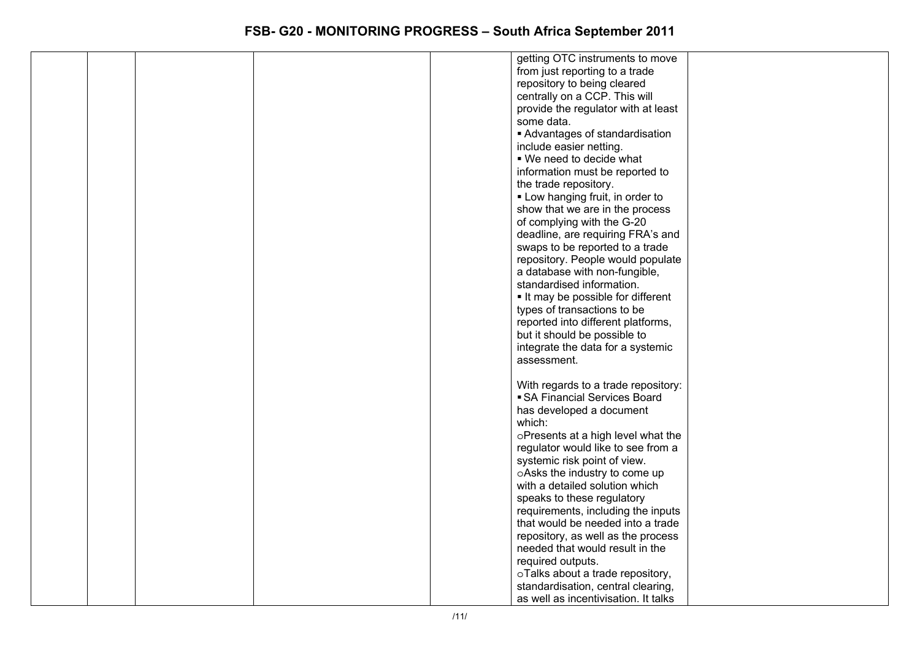|  |  | getting OTC instruments to move      |  |
|--|--|--------------------------------------|--|
|  |  | from just reporting to a trade       |  |
|  |  | repository to being cleared          |  |
|  |  | centrally on a CCP. This will        |  |
|  |  | provide the regulator with at least  |  |
|  |  | some data.                           |  |
|  |  |                                      |  |
|  |  | Advantages of standardisation        |  |
|  |  | include easier netting.              |  |
|  |  | ■ We need to decide what             |  |
|  |  | information must be reported to      |  |
|  |  | the trade repository.                |  |
|  |  | • Low hanging fruit, in order to     |  |
|  |  | show that we are in the process      |  |
|  |  | of complying with the G-20           |  |
|  |  | deadline, are requiring FRA's and    |  |
|  |  | swaps to be reported to a trade      |  |
|  |  | repository. People would populate    |  |
|  |  | a database with non-fungible,        |  |
|  |  | standardised information.            |  |
|  |  | It may be possible for different     |  |
|  |  | types of transactions to be          |  |
|  |  | reported into different platforms,   |  |
|  |  | but it should be possible to         |  |
|  |  | integrate the data for a systemic    |  |
|  |  | assessment.                          |  |
|  |  |                                      |  |
|  |  | With regards to a trade repository:  |  |
|  |  | • SA Financial Services Board        |  |
|  |  | has developed a document             |  |
|  |  | which:                               |  |
|  |  |                                      |  |
|  |  | oPresents at a high level what the   |  |
|  |  | regulator would like to see from a   |  |
|  |  | systemic risk point of view.         |  |
|  |  | oAsks the industry to come up        |  |
|  |  | with a detailed solution which       |  |
|  |  | speaks to these regulatory           |  |
|  |  | requirements, including the inputs   |  |
|  |  | that would be needed into a trade    |  |
|  |  | repository, as well as the process   |  |
|  |  | needed that would result in the      |  |
|  |  | required outputs.                    |  |
|  |  | oTalks about a trade repository,     |  |
|  |  | standardisation, central clearing,   |  |
|  |  | as well as incentivisation. It talks |  |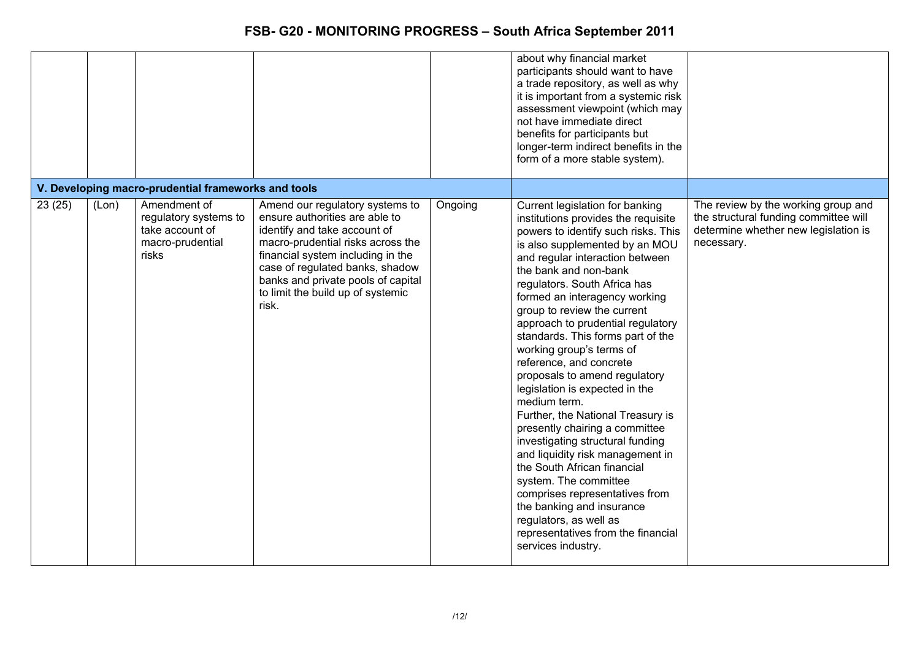|        |       |                                                                                       |                                                                                                                                                                                                                                                                                                    |         | about why financial market<br>participants should want to have<br>a trade repository, as well as why<br>it is important from a systemic risk<br>assessment viewpoint (which may<br>not have immediate direct<br>benefits for participants but<br>longer-term indirect benefits in the<br>form of a more stable system).                                                                                                                                                                                                                                                                                                                                                                                                                                                                                                                                                                     |                                                                                                                                    |
|--------|-------|---------------------------------------------------------------------------------------|----------------------------------------------------------------------------------------------------------------------------------------------------------------------------------------------------------------------------------------------------------------------------------------------------|---------|---------------------------------------------------------------------------------------------------------------------------------------------------------------------------------------------------------------------------------------------------------------------------------------------------------------------------------------------------------------------------------------------------------------------------------------------------------------------------------------------------------------------------------------------------------------------------------------------------------------------------------------------------------------------------------------------------------------------------------------------------------------------------------------------------------------------------------------------------------------------------------------------|------------------------------------------------------------------------------------------------------------------------------------|
|        |       | V. Developing macro-prudential frameworks and tools                                   |                                                                                                                                                                                                                                                                                                    |         |                                                                                                                                                                                                                                                                                                                                                                                                                                                                                                                                                                                                                                                                                                                                                                                                                                                                                             |                                                                                                                                    |
| 23(25) | (Lon) | Amendment of<br>regulatory systems to<br>take account of<br>macro-prudential<br>risks | Amend our regulatory systems to<br>ensure authorities are able to<br>identify and take account of<br>macro-prudential risks across the<br>financial system including in the<br>case of regulated banks, shadow<br>banks and private pools of capital<br>to limit the build up of systemic<br>risk. | Ongoing | Current legislation for banking<br>institutions provides the requisite<br>powers to identify such risks. This<br>is also supplemented by an MOU<br>and regular interaction between<br>the bank and non-bank<br>regulators. South Africa has<br>formed an interagency working<br>group to review the current<br>approach to prudential regulatory<br>standards. This forms part of the<br>working group's terms of<br>reference, and concrete<br>proposals to amend regulatory<br>legislation is expected in the<br>medium term.<br>Further, the National Treasury is<br>presently chairing a committee<br>investigating structural funding<br>and liquidity risk management in<br>the South African financial<br>system. The committee<br>comprises representatives from<br>the banking and insurance<br>regulators, as well as<br>representatives from the financial<br>services industry. | The review by the working group and<br>the structural funding committee will<br>determine whether new legislation is<br>necessary. |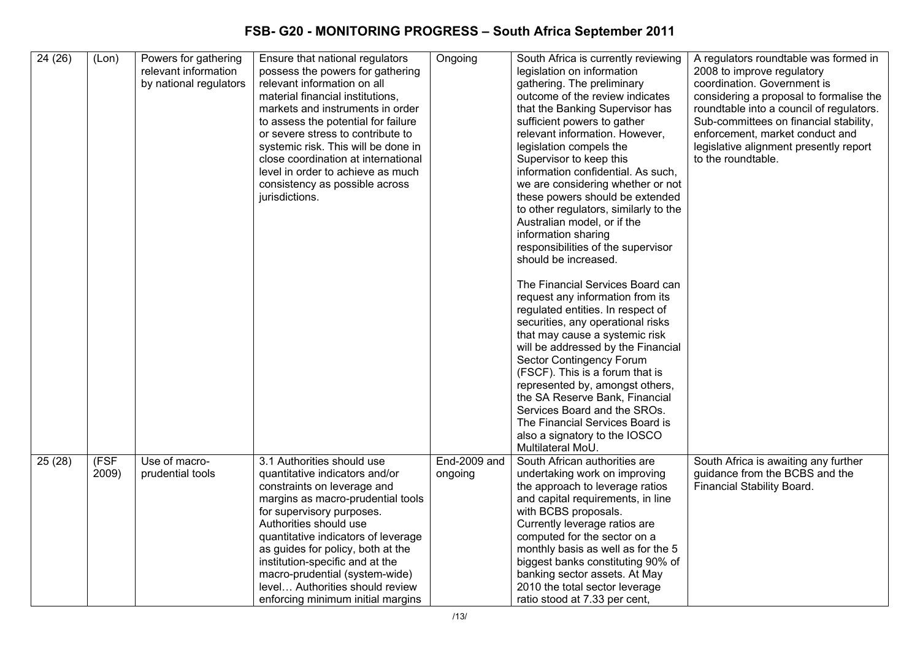| 24(26) | (Lon) | Powers for gathering   | Ensure that national regulators     | Ongoing      | South Africa is currently reviewing   | A regulators roundtable was formed in    |
|--------|-------|------------------------|-------------------------------------|--------------|---------------------------------------|------------------------------------------|
|        |       | relevant information   | possess the powers for gathering    |              | legislation on information            | 2008 to improve regulatory               |
|        |       | by national regulators | relevant information on all         |              | gathering. The preliminary            | coordination. Government is              |
|        |       |                        | material financial institutions,    |              | outcome of the review indicates       | considering a proposal to formalise the  |
|        |       |                        | markets and instruments in order    |              | that the Banking Supervisor has       | roundtable into a council of regulators. |
|        |       |                        | to assess the potential for failure |              | sufficient powers to gather           | Sub-committees on financial stability,   |
|        |       |                        | or severe stress to contribute to   |              | relevant information. However,        | enforcement, market conduct and          |
|        |       |                        | systemic risk. This will be done in |              | legislation compels the               | legislative alignment presently report   |
|        |       |                        | close coordination at international |              | Supervisor to keep this               | to the roundtable.                       |
|        |       |                        | level in order to achieve as much   |              | information confidential. As such,    |                                          |
|        |       |                        | consistency as possible across      |              | we are considering whether or not     |                                          |
|        |       |                        | jurisdictions.                      |              | these powers should be extended       |                                          |
|        |       |                        |                                     |              | to other regulators, similarly to the |                                          |
|        |       |                        |                                     |              |                                       |                                          |
|        |       |                        |                                     |              | Australian model, or if the           |                                          |
|        |       |                        |                                     |              | information sharing                   |                                          |
|        |       |                        |                                     |              | responsibilities of the supervisor    |                                          |
|        |       |                        |                                     |              | should be increased.                  |                                          |
|        |       |                        |                                     |              | The Financial Services Board can      |                                          |
|        |       |                        |                                     |              | request any information from its      |                                          |
|        |       |                        |                                     |              | regulated entities. In respect of     |                                          |
|        |       |                        |                                     |              | securities, any operational risks     |                                          |
|        |       |                        |                                     |              | that may cause a systemic risk        |                                          |
|        |       |                        |                                     |              | will be addressed by the Financial    |                                          |
|        |       |                        |                                     |              | Sector Contingency Forum              |                                          |
|        |       |                        |                                     |              | (FSCF). This is a forum that is       |                                          |
|        |       |                        |                                     |              | represented by, amongst others,       |                                          |
|        |       |                        |                                     |              | the SA Reserve Bank, Financial        |                                          |
|        |       |                        |                                     |              | Services Board and the SROs.          |                                          |
|        |       |                        |                                     |              | The Financial Services Board is       |                                          |
|        |       |                        |                                     |              | also a signatory to the IOSCO         |                                          |
|        |       |                        |                                     |              | Multilateral MoU.                     |                                          |
| 25(28) | (FSF  | Use of macro-          | 3.1 Authorities should use          | End-2009 and | South African authorities are         | South Africa is awaiting any further     |
|        | 2009) | prudential tools       | quantitative indicators and/or      | ongoing      | undertaking work on improving         | guidance from the BCBS and the           |
|        |       |                        | constraints on leverage and         |              | the approach to leverage ratios       | Financial Stability Board.               |
|        |       |                        | margins as macro-prudential tools   |              | and capital requirements, in line     |                                          |
|        |       |                        | for supervisory purposes.           |              | with BCBS proposals.                  |                                          |
|        |       |                        | Authorities should use              |              | Currently leverage ratios are         |                                          |
|        |       |                        | quantitative indicators of leverage |              | computed for the sector on a          |                                          |
|        |       |                        | as guides for policy, both at the   |              | monthly basis as well as for the 5    |                                          |
|        |       |                        | institution-specific and at the     |              | biggest banks constituting 90% of     |                                          |
|        |       |                        |                                     |              |                                       |                                          |
|        |       |                        | macro-prudential (system-wide)      |              | banking sector assets. At May         |                                          |
|        |       |                        | level Authorities should review     |              | 2010 the total sector leverage        |                                          |
|        |       |                        | enforcing minimum initial margins   |              | ratio stood at 7.33 per cent,         |                                          |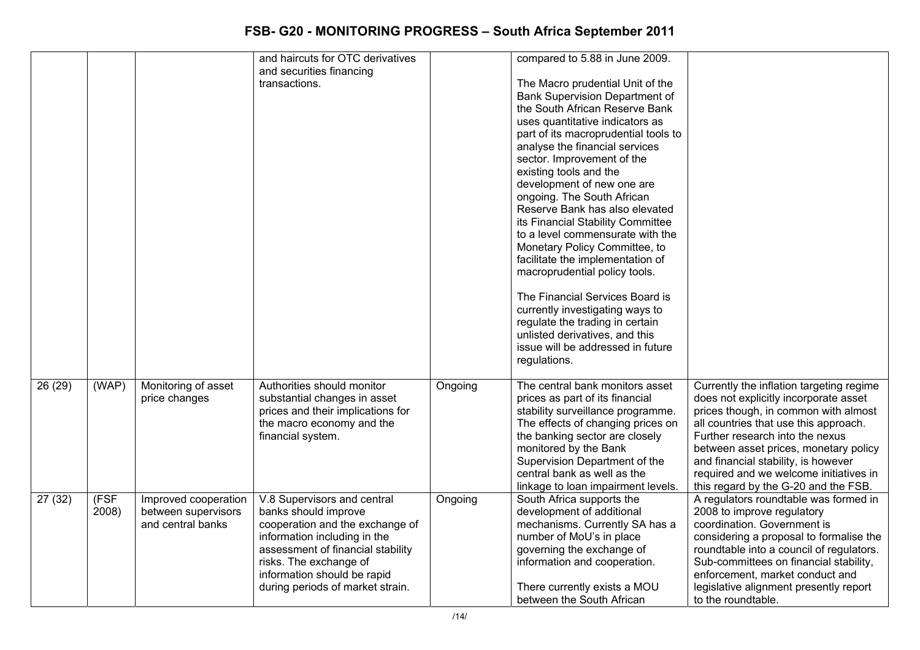|         |       |                      | and haircuts for OTC derivatives  |         | compared to 5.88 in June 2009.                                       |                                                                                   |
|---------|-------|----------------------|-----------------------------------|---------|----------------------------------------------------------------------|-----------------------------------------------------------------------------------|
|         |       |                      | and securities financing          |         |                                                                      |                                                                                   |
|         |       |                      | transactions.                     |         | The Macro prudential Unit of the                                     |                                                                                   |
|         |       |                      |                                   |         | <b>Bank Supervision Department of</b>                                |                                                                                   |
|         |       |                      |                                   |         | the South African Reserve Bank                                       |                                                                                   |
|         |       |                      |                                   |         | uses quantitative indicators as                                      |                                                                                   |
|         |       |                      |                                   |         | part of its macroprudential tools to                                 |                                                                                   |
|         |       |                      |                                   |         | analyse the financial services                                       |                                                                                   |
|         |       |                      |                                   |         | sector. Improvement of the                                           |                                                                                   |
|         |       |                      |                                   |         | existing tools and the                                               |                                                                                   |
|         |       |                      |                                   |         | development of new one are                                           |                                                                                   |
|         |       |                      |                                   |         | ongoing. The South African<br>Reserve Bank has also elevated         |                                                                                   |
|         |       |                      |                                   |         | its Financial Stability Committee                                    |                                                                                   |
|         |       |                      |                                   |         | to a level commensurate with the                                     |                                                                                   |
|         |       |                      |                                   |         | Monetary Policy Committee, to                                        |                                                                                   |
|         |       |                      |                                   |         | facilitate the implementation of                                     |                                                                                   |
|         |       |                      |                                   |         | macroprudential policy tools.                                        |                                                                                   |
|         |       |                      |                                   |         |                                                                      |                                                                                   |
|         |       |                      |                                   |         | The Financial Services Board is                                      |                                                                                   |
|         |       |                      |                                   |         | currently investigating ways to                                      |                                                                                   |
|         |       |                      |                                   |         | regulate the trading in certain                                      |                                                                                   |
|         |       |                      |                                   |         | unlisted derivatives, and this                                       |                                                                                   |
|         |       |                      |                                   |         | issue will be addressed in future                                    |                                                                                   |
|         |       |                      |                                   |         | regulations.                                                         |                                                                                   |
|         |       |                      | Authorities should monitor        |         | The central bank monitors asset                                      |                                                                                   |
| 26 (29) | (WAP) | Monitoring of asset  | substantial changes in asset      | Ongoing |                                                                      | Currently the inflation targeting regime<br>does not explicitly incorporate asset |
|         |       | price changes        | prices and their implications for |         | prices as part of its financial<br>stability surveillance programme. | prices though, in common with almost                                              |
|         |       |                      | the macro economy and the         |         | The effects of changing prices on                                    | all countries that use this approach.                                             |
|         |       |                      | financial system.                 |         | the banking sector are closely                                       | Further research into the nexus                                                   |
|         |       |                      |                                   |         | monitored by the Bank                                                | between asset prices, monetary policy                                             |
|         |       |                      |                                   |         | Supervision Department of the                                        | and financial stability, is however                                               |
|         |       |                      |                                   |         | central bank as well as the                                          | required and we welcome initiatives in                                            |
|         |       |                      |                                   |         | linkage to loan impairment levels.                                   | this regard by the G-20 and the FSB.                                              |
| 27(32)  | (FSF) | Improved cooperation | V.8 Supervisors and central       | Ongoing | South Africa supports the                                            | A regulators roundtable was formed in                                             |
|         | 2008) | between supervisors  | banks should improve              |         | development of additional                                            | 2008 to improve regulatory                                                        |
|         |       | and central banks    | cooperation and the exchange of   |         | mechanisms. Currently SA has a                                       | coordination. Government is                                                       |
|         |       |                      | information including in the      |         | number of MoU's in place                                             | considering a proposal to formalise the                                           |
|         |       |                      | assessment of financial stability |         | governing the exchange of                                            | roundtable into a council of regulators.                                          |
|         |       |                      | risks. The exchange of            |         | information and cooperation.                                         | Sub-committees on financial stability,                                            |
|         |       |                      | information should be rapid       |         |                                                                      | enforcement, market conduct and                                                   |
|         |       |                      | during periods of market strain.  |         | There currently exists a MOU                                         | legislative alignment presently report                                            |
|         |       |                      |                                   |         | between the South African                                            | to the roundtable.                                                                |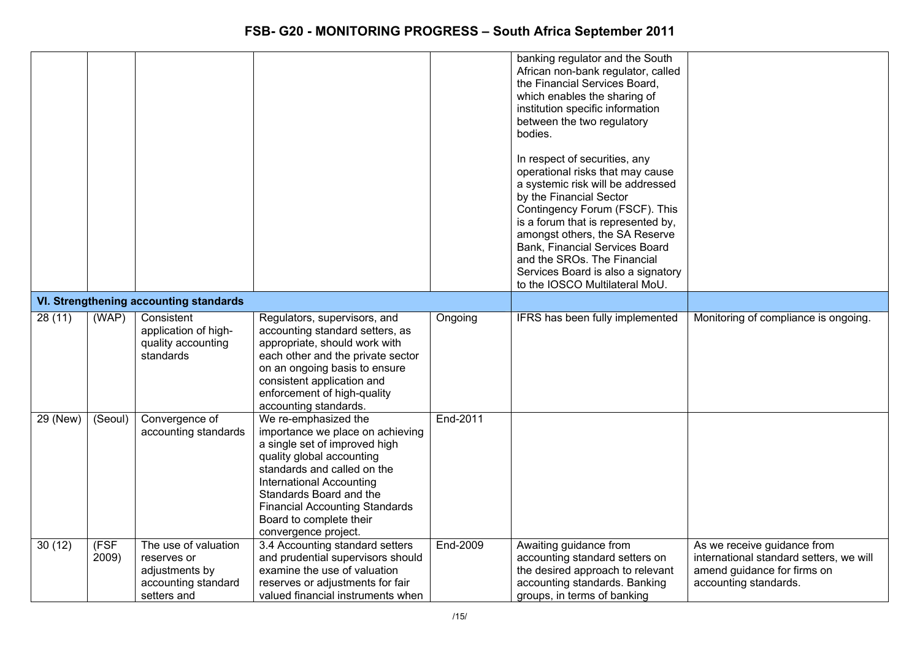|          |               |                                                                                             |                                                                                                                                                                                                                                                                                                                 |          | banking regulator and the South<br>African non-bank regulator, called<br>the Financial Services Board,<br>which enables the sharing of<br>institution specific information<br>between the two regulatory<br>bodies.<br>In respect of securities, any<br>operational risks that may cause<br>a systemic risk will be addressed<br>by the Financial Sector<br>Contingency Forum (FSCF). This<br>is a forum that is represented by,<br>amongst others, the SA Reserve<br>Bank, Financial Services Board<br>and the SROs. The Financial<br>Services Board is also a signatory<br>to the IOSCO Multilateral MoU. |                                                                                                                                |
|----------|---------------|---------------------------------------------------------------------------------------------|-----------------------------------------------------------------------------------------------------------------------------------------------------------------------------------------------------------------------------------------------------------------------------------------------------------------|----------|-------------------------------------------------------------------------------------------------------------------------------------------------------------------------------------------------------------------------------------------------------------------------------------------------------------------------------------------------------------------------------------------------------------------------------------------------------------------------------------------------------------------------------------------------------------------------------------------------------------|--------------------------------------------------------------------------------------------------------------------------------|
|          |               | VI. Strengthening accounting standards                                                      |                                                                                                                                                                                                                                                                                                                 |          |                                                                                                                                                                                                                                                                                                                                                                                                                                                                                                                                                                                                             |                                                                                                                                |
| 28(11)   | (WAP)         | Consistent<br>application of high-<br>quality accounting<br>standards                       | Regulators, supervisors, and<br>accounting standard setters, as<br>appropriate, should work with<br>each other and the private sector<br>on an ongoing basis to ensure<br>consistent application and<br>enforcement of high-quality<br>accounting standards.                                                    | Ongoing  | IFRS has been fully implemented                                                                                                                                                                                                                                                                                                                                                                                                                                                                                                                                                                             | Monitoring of compliance is ongoing.                                                                                           |
| 29 (New) | (Seoul)       | Convergence of<br>accounting standards                                                      | We re-emphasized the<br>importance we place on achieving<br>a single set of improved high<br>quality global accounting<br>standards and called on the<br><b>International Accounting</b><br>Standards Board and the<br><b>Financial Accounting Standards</b><br>Board to complete their<br>convergence project. | End-2011 |                                                                                                                                                                                                                                                                                                                                                                                                                                                                                                                                                                                                             |                                                                                                                                |
| 30(12)   | (FSF<br>2009) | The use of valuation<br>reserves or<br>adjustments by<br>accounting standard<br>setters and | 3.4 Accounting standard setters<br>and prudential supervisors should<br>examine the use of valuation<br>reserves or adjustments for fair<br>valued financial instruments when                                                                                                                                   | End-2009 | Awaiting guidance from<br>accounting standard setters on<br>the desired approach to relevant<br>accounting standards. Banking<br>groups, in terms of banking                                                                                                                                                                                                                                                                                                                                                                                                                                                | As we receive guidance from<br>international standard setters, we will<br>amend guidance for firms on<br>accounting standards. |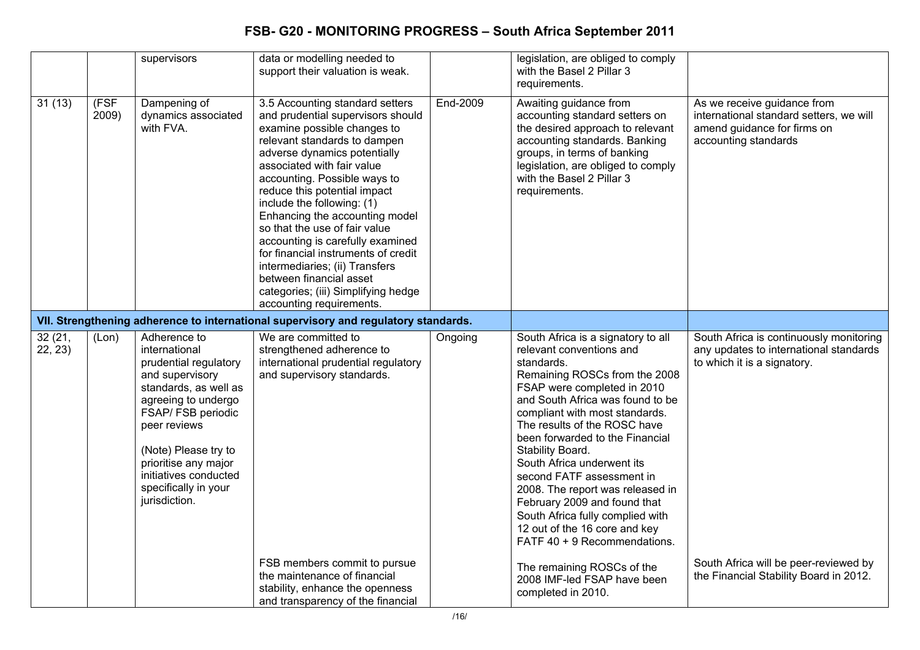|                    |               | supervisors                                                                                                                                                                                                                                                                       | data or modelling needed to<br>support their valuation is weak.                                                                                                                                                                                                                                                                                                                                                                                                                                                                                                               |          | legislation, are obliged to comply<br>with the Basel 2 Pillar 3<br>requirements.                                                                                                                                                                                                                                                                                                                                                                                                                                                              |                                                                                                                               |
|--------------------|---------------|-----------------------------------------------------------------------------------------------------------------------------------------------------------------------------------------------------------------------------------------------------------------------------------|-------------------------------------------------------------------------------------------------------------------------------------------------------------------------------------------------------------------------------------------------------------------------------------------------------------------------------------------------------------------------------------------------------------------------------------------------------------------------------------------------------------------------------------------------------------------------------|----------|-----------------------------------------------------------------------------------------------------------------------------------------------------------------------------------------------------------------------------------------------------------------------------------------------------------------------------------------------------------------------------------------------------------------------------------------------------------------------------------------------------------------------------------------------|-------------------------------------------------------------------------------------------------------------------------------|
| 31(13)             | (FSF<br>2009) | Dampening of<br>dynamics associated<br>with FVA.                                                                                                                                                                                                                                  | 3.5 Accounting standard setters<br>and prudential supervisors should<br>examine possible changes to<br>relevant standards to dampen<br>adverse dynamics potentially<br>associated with fair value<br>accounting. Possible ways to<br>reduce this potential impact<br>include the following: (1)<br>Enhancing the accounting model<br>so that the use of fair value<br>accounting is carefully examined<br>for financial instruments of credit<br>intermediaries; (ii) Transfers<br>between financial asset<br>categories; (iii) Simplifying hedge<br>accounting requirements. | End-2009 | Awaiting guidance from<br>accounting standard setters on<br>the desired approach to relevant<br>accounting standards. Banking<br>groups, in terms of banking<br>legislation, are obliged to comply<br>with the Basel 2 Pillar 3<br>requirements.                                                                                                                                                                                                                                                                                              | As we receive guidance from<br>international standard setters, we will<br>amend guidance for firms on<br>accounting standards |
|                    |               |                                                                                                                                                                                                                                                                                   | VII. Strengthening adherence to international supervisory and regulatory standards.                                                                                                                                                                                                                                                                                                                                                                                                                                                                                           |          |                                                                                                                                                                                                                                                                                                                                                                                                                                                                                                                                               |                                                                                                                               |
| 32 (21,<br>22, 23) | (Lon)         | Adherence to<br>international<br>prudential regulatory<br>and supervisory<br>standards, as well as<br>agreeing to undergo<br>FSAP/ FSB periodic<br>peer reviews<br>(Note) Please try to<br>prioritise any major<br>initiatives conducted<br>specifically in your<br>jurisdiction. | We are committed to<br>strengthened adherence to<br>international prudential regulatory<br>and supervisory standards.                                                                                                                                                                                                                                                                                                                                                                                                                                                         | Ongoing  | South Africa is a signatory to all<br>relevant conventions and<br>standards.<br>Remaining ROSCs from the 2008<br>FSAP were completed in 2010<br>and South Africa was found to be<br>compliant with most standards.<br>The results of the ROSC have<br>been forwarded to the Financial<br>Stability Board.<br>South Africa underwent its<br>second FATF assessment in<br>2008. The report was released in<br>February 2009 and found that<br>South Africa fully complied with<br>12 out of the 16 core and key<br>FATF 40 + 9 Recommendations. | South Africa is continuously monitoring<br>any updates to international standards<br>to which it is a signatory.              |
|                    |               |                                                                                                                                                                                                                                                                                   | FSB members commit to pursue<br>the maintenance of financial<br>stability, enhance the openness<br>and transparency of the financial                                                                                                                                                                                                                                                                                                                                                                                                                                          |          | The remaining ROSCs of the<br>2008 IMF-led FSAP have been<br>completed in 2010.                                                                                                                                                                                                                                                                                                                                                                                                                                                               | South Africa will be peer-reviewed by<br>the Financial Stability Board in 2012.                                               |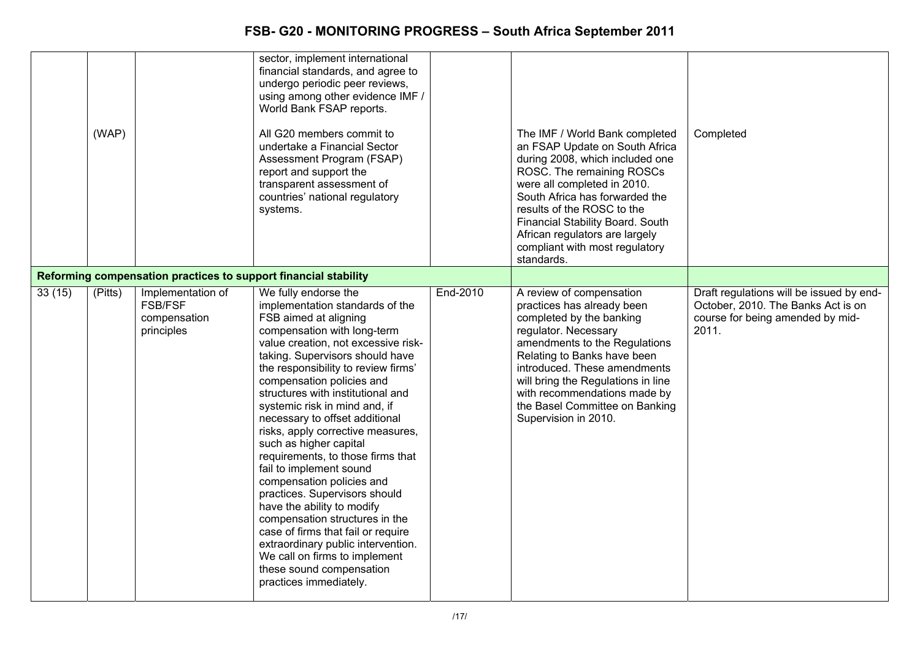|        | (WAP)   |                                                                   | sector, implement international<br>financial standards, and agree to<br>undergo periodic peer reviews,<br>using among other evidence IMF /<br>World Bank FSAP reports.<br>All G20 members commit to<br>undertake a Financial Sector<br>Assessment Program (FSAP)<br>report and support the<br>transparent assessment of<br>countries' national regulatory<br>systems.                                                                                                                                                                                                                                                                                                                                                                                                                                 |          | The IMF / World Bank completed<br>an FSAP Update on South Africa<br>during 2008, which included one<br>ROSC. The remaining ROSCs<br>were all completed in 2010.<br>South Africa has forwarded the<br>results of the ROSC to the<br>Financial Stability Board. South<br>African regulators are largely<br>compliant with most regulatory<br>standards. | Completed                                                                                                                   |
|--------|---------|-------------------------------------------------------------------|-------------------------------------------------------------------------------------------------------------------------------------------------------------------------------------------------------------------------------------------------------------------------------------------------------------------------------------------------------------------------------------------------------------------------------------------------------------------------------------------------------------------------------------------------------------------------------------------------------------------------------------------------------------------------------------------------------------------------------------------------------------------------------------------------------|----------|-------------------------------------------------------------------------------------------------------------------------------------------------------------------------------------------------------------------------------------------------------------------------------------------------------------------------------------------------------|-----------------------------------------------------------------------------------------------------------------------------|
|        |         |                                                                   | Reforming compensation practices to support financial stability                                                                                                                                                                                                                                                                                                                                                                                                                                                                                                                                                                                                                                                                                                                                       |          |                                                                                                                                                                                                                                                                                                                                                       |                                                                                                                             |
| 33(15) | (Pitts) | Implementation of<br><b>FSB/FSF</b><br>compensation<br>principles | We fully endorse the<br>implementation standards of the<br>FSB aimed at aligning<br>compensation with long-term<br>value creation, not excessive risk-<br>taking. Supervisors should have<br>the responsibility to review firms'<br>compensation policies and<br>structures with institutional and<br>systemic risk in mind and, if<br>necessary to offset additional<br>risks, apply corrective measures,<br>such as higher capital<br>requirements, to those firms that<br>fail to implement sound<br>compensation policies and<br>practices. Supervisors should<br>have the ability to modify<br>compensation structures in the<br>case of firms that fail or require<br>extraordinary public intervention.<br>We call on firms to implement<br>these sound compensation<br>practices immediately. | End-2010 | A review of compensation<br>practices has already been<br>completed by the banking<br>regulator. Necessary<br>amendments to the Regulations<br>Relating to Banks have been<br>introduced. These amendments<br>will bring the Regulations in line<br>with recommendations made by<br>the Basel Committee on Banking<br>Supervision in 2010.            | Draft regulations will be issued by end-<br>October, 2010. The Banks Act is on<br>course for being amended by mid-<br>2011. |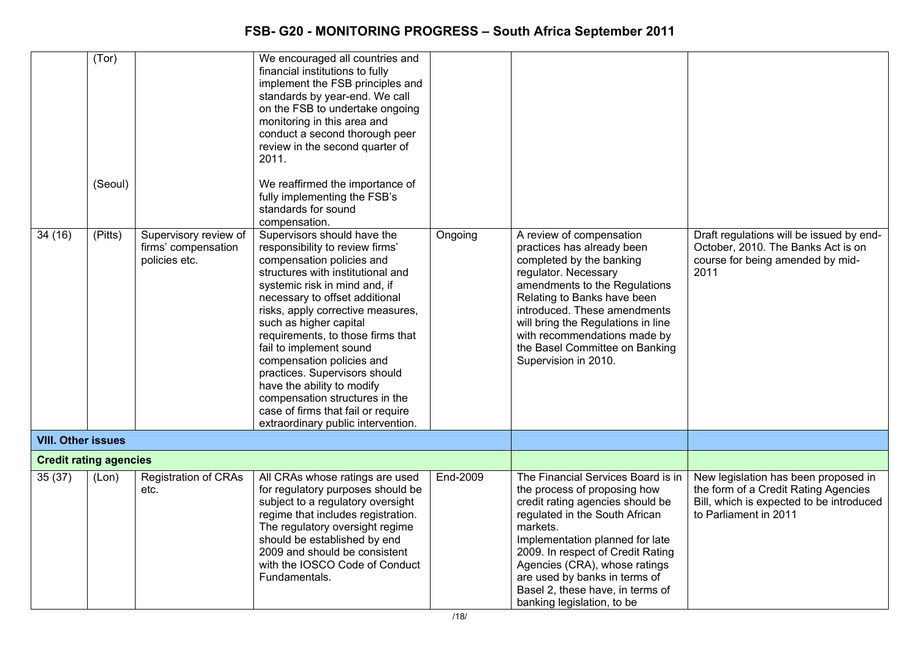| 34(16)                        | (Tor)<br>(Seoul)<br>(Pitts) | Supervisory review of<br>firms' compensation<br>policies etc. | We encouraged all countries and<br>financial institutions to fully<br>implement the FSB principles and<br>standards by year-end. We call<br>on the FSB to undertake ongoing<br>monitoring in this area and<br>conduct a second thorough peer<br>review in the second quarter of<br>2011.<br>We reaffirmed the importance of<br>fully implementing the FSB's<br>standards for sound<br>compensation.<br>Supervisors should have the<br>responsibility to review firms'<br>compensation policies and<br>structures with institutional and<br>systemic risk in mind and, if<br>necessary to offset additional<br>risks, apply corrective measures,<br>such as higher capital<br>requirements, to those firms that<br>fail to implement sound<br>compensation policies and<br>practices. Supervisors should<br>have the ability to modify<br>compensation structures in the<br>case of firms that fail or require<br>extraordinary public intervention. | Ongoing  | A review of compensation<br>practices has already been<br>completed by the banking<br>regulator. Necessary<br>amendments to the Regulations<br>Relating to Banks have been<br>introduced. These amendments<br>will bring the Regulations in line<br>with recommendations made by<br>the Basel Committee on Banking<br>Supervision in 2010.                       | Draft regulations will be issued by end-<br>October, 2010. The Banks Act is on<br>course for being amended by mid-<br>2011                        |
|-------------------------------|-----------------------------|---------------------------------------------------------------|-----------------------------------------------------------------------------------------------------------------------------------------------------------------------------------------------------------------------------------------------------------------------------------------------------------------------------------------------------------------------------------------------------------------------------------------------------------------------------------------------------------------------------------------------------------------------------------------------------------------------------------------------------------------------------------------------------------------------------------------------------------------------------------------------------------------------------------------------------------------------------------------------------------------------------------------------------|----------|------------------------------------------------------------------------------------------------------------------------------------------------------------------------------------------------------------------------------------------------------------------------------------------------------------------------------------------------------------------|---------------------------------------------------------------------------------------------------------------------------------------------------|
| <b>VIII. Other issues</b>     |                             |                                                               |                                                                                                                                                                                                                                                                                                                                                                                                                                                                                                                                                                                                                                                                                                                                                                                                                                                                                                                                                     |          |                                                                                                                                                                                                                                                                                                                                                                  |                                                                                                                                                   |
| <b>Credit rating agencies</b> |                             |                                                               |                                                                                                                                                                                                                                                                                                                                                                                                                                                                                                                                                                                                                                                                                                                                                                                                                                                                                                                                                     |          |                                                                                                                                                                                                                                                                                                                                                                  |                                                                                                                                                   |
| 35(37)                        | (Lon)                       | <b>Registration of CRAs</b><br>etc.                           | All CRAs whose ratings are used<br>for regulatory purposes should be<br>subject to a regulatory oversight<br>regime that includes registration.<br>The regulatory oversight regime<br>should be established by end<br>2009 and should be consistent<br>with the IOSCO Code of Conduct<br>Fundamentals.                                                                                                                                                                                                                                                                                                                                                                                                                                                                                                                                                                                                                                              | End-2009 | The Financial Services Board is in<br>the process of proposing how<br>credit rating agencies should be<br>regulated in the South African<br>markets.<br>Implementation planned for late<br>2009. In respect of Credit Rating<br>Agencies (CRA), whose ratings<br>are used by banks in terms of<br>Basel 2, these have, in terms of<br>banking legislation, to be | New legislation has been proposed in<br>the form of a Credit Rating Agencies<br>Bill, which is expected to be introduced<br>to Parliament in 2011 |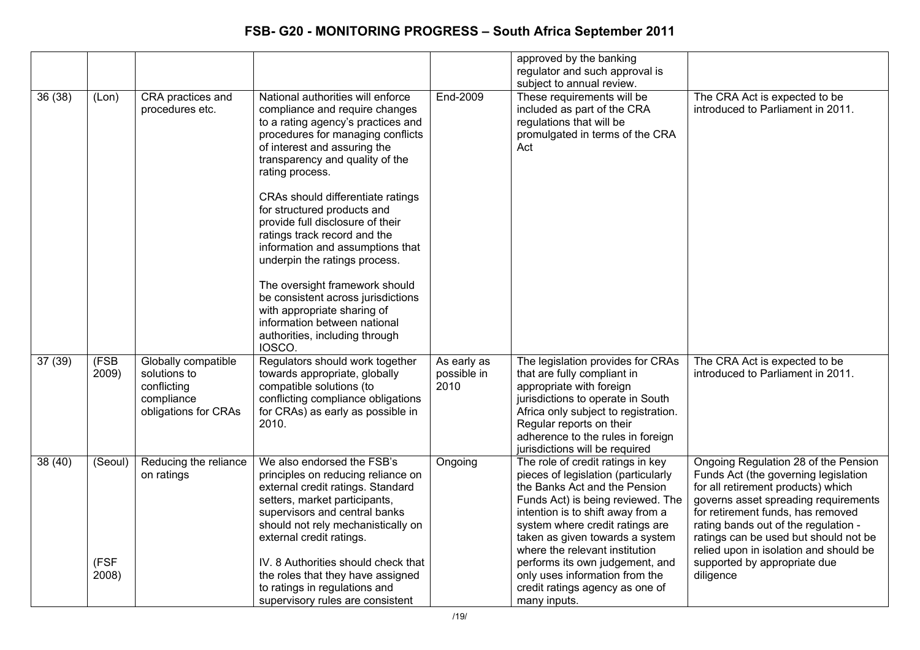|         |               |                                                                                          |                                                                                                                                                                                                                                                                                                          |                                    | approved by the banking<br>regulator and such approval is<br>subject to annual review.                                                                                                                                                                                                      |                                                                                                                                                                                                                                                                                                                            |
|---------|---------------|------------------------------------------------------------------------------------------|----------------------------------------------------------------------------------------------------------------------------------------------------------------------------------------------------------------------------------------------------------------------------------------------------------|------------------------------------|---------------------------------------------------------------------------------------------------------------------------------------------------------------------------------------------------------------------------------------------------------------------------------------------|----------------------------------------------------------------------------------------------------------------------------------------------------------------------------------------------------------------------------------------------------------------------------------------------------------------------------|
| 36 (38) | (Lon)         | CRA practices and<br>procedures etc.                                                     | National authorities will enforce<br>compliance and require changes<br>to a rating agency's practices and<br>procedures for managing conflicts<br>of interest and assuring the<br>transparency and quality of the<br>rating process.<br>CRAs should differentiate ratings<br>for structured products and | End-2009                           | These requirements will be<br>included as part of the CRA<br>regulations that will be<br>promulgated in terms of the CRA<br>Act                                                                                                                                                             | The CRA Act is expected to be<br>introduced to Parliament in 2011.                                                                                                                                                                                                                                                         |
|         |               |                                                                                          | provide full disclosure of their<br>ratings track record and the<br>information and assumptions that<br>underpin the ratings process.                                                                                                                                                                    |                                    |                                                                                                                                                                                                                                                                                             |                                                                                                                                                                                                                                                                                                                            |
|         |               |                                                                                          | The oversight framework should<br>be consistent across jurisdictions<br>with appropriate sharing of<br>information between national<br>authorities, including through<br>IOSCO.                                                                                                                          |                                    |                                                                                                                                                                                                                                                                                             |                                                                                                                                                                                                                                                                                                                            |
| 37(39)  | (FSB<br>2009) | Globally compatible<br>solutions to<br>conflicting<br>compliance<br>obligations for CRAs | Regulators should work together<br>towards appropriate, globally<br>compatible solutions (to<br>conflicting compliance obligations<br>for CRAs) as early as possible in<br>2010.                                                                                                                         | As early as<br>possible in<br>2010 | The legislation provides for CRAs<br>that are fully compliant in<br>appropriate with foreign<br>jurisdictions to operate in South<br>Africa only subject to registration.<br>Regular reports on their<br>adherence to the rules in foreign<br>jurisdictions will be required                | The CRA Act is expected to be<br>introduced to Parliament in 2011.                                                                                                                                                                                                                                                         |
| 38(40)  | (Seoul)       | Reducing the reliance<br>on ratings                                                      | We also endorsed the FSB's<br>principles on reducing reliance on<br>external credit ratings. Standard<br>setters, market participants,<br>supervisors and central banks<br>should not rely mechanistically on<br>external credit ratings.                                                                | Ongoing                            | The role of credit ratings in key<br>pieces of legislation (particularly<br>the Banks Act and the Pension<br>Funds Act) is being reviewed. The<br>intention is to shift away from a<br>system where credit ratings are<br>taken as given towards a system<br>where the relevant institution | Ongoing Regulation 28 of the Pension<br>Funds Act (the governing legislation<br>for all retirement products) which<br>governs asset spreading requirements<br>for retirement funds, has removed<br>rating bands out of the regulation -<br>ratings can be used but should not be<br>relied upon in isolation and should be |
|         | (FSF<br>2008) |                                                                                          | IV. 8 Authorities should check that<br>the roles that they have assigned<br>to ratings in regulations and<br>supervisory rules are consistent                                                                                                                                                            |                                    | performs its own judgement, and<br>only uses information from the<br>credit ratings agency as one of<br>many inputs.                                                                                                                                                                        | supported by appropriate due<br>diligence                                                                                                                                                                                                                                                                                  |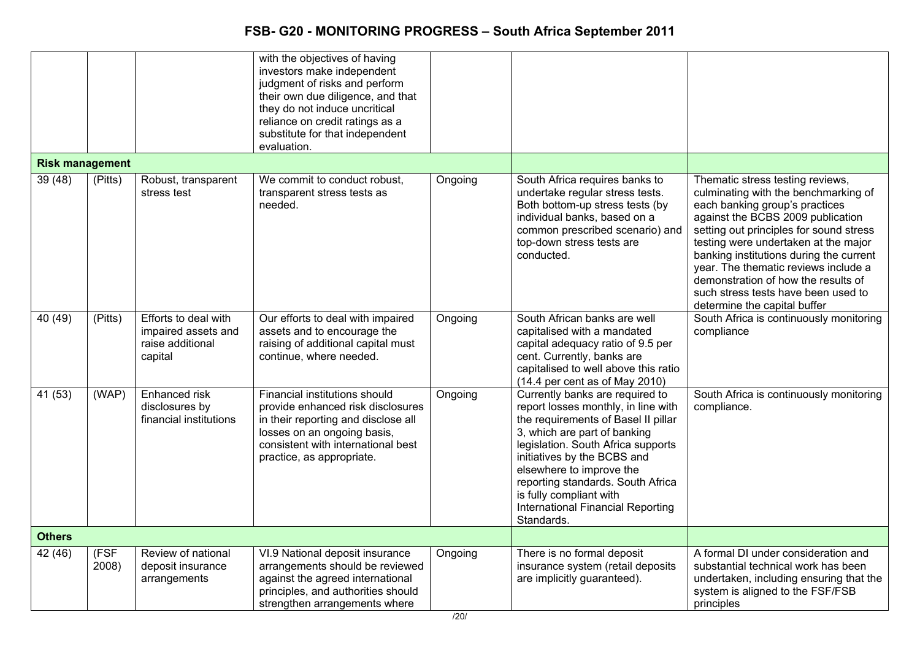|                        |               |                                                                            | with the objectives of having<br>investors make independent<br>judgment of risks and perform<br>their own due diligence, and that<br>they do not induce uncritical<br>reliance on credit ratings as a<br>substitute for that independent<br>evaluation. |         |                                                                                                                                                                                                                                                                                                                                                                          |                                                                                                                                                                                                                                                                                                                                                                                                                                     |
|------------------------|---------------|----------------------------------------------------------------------------|---------------------------------------------------------------------------------------------------------------------------------------------------------------------------------------------------------------------------------------------------------|---------|--------------------------------------------------------------------------------------------------------------------------------------------------------------------------------------------------------------------------------------------------------------------------------------------------------------------------------------------------------------------------|-------------------------------------------------------------------------------------------------------------------------------------------------------------------------------------------------------------------------------------------------------------------------------------------------------------------------------------------------------------------------------------------------------------------------------------|
| <b>Risk management</b> |               |                                                                            |                                                                                                                                                                                                                                                         |         |                                                                                                                                                                                                                                                                                                                                                                          |                                                                                                                                                                                                                                                                                                                                                                                                                                     |
| 39(48)                 | (Pitts)       | Robust, transparent<br>stress test                                         | We commit to conduct robust,<br>transparent stress tests as<br>needed.                                                                                                                                                                                  | Ongoing | South Africa requires banks to<br>undertake regular stress tests.<br>Both bottom-up stress tests (by<br>individual banks, based on a<br>common prescribed scenario) and<br>top-down stress tests are<br>conducted.                                                                                                                                                       | Thematic stress testing reviews,<br>culminating with the benchmarking of<br>each banking group's practices<br>against the BCBS 2009 publication<br>setting out principles for sound stress<br>testing were undertaken at the major<br>banking institutions during the current<br>year. The thematic reviews include a<br>demonstration of how the results of<br>such stress tests have been used to<br>determine the capital buffer |
| 40(49)                 | (Pitts)       | Efforts to deal with<br>impaired assets and<br>raise additional<br>capital | Our efforts to deal with impaired<br>assets and to encourage the<br>raising of additional capital must<br>continue, where needed.                                                                                                                       | Ongoing | South African banks are well<br>capitalised with a mandated<br>capital adequacy ratio of 9.5 per<br>cent. Currently, banks are<br>capitalised to well above this ratio<br>$(14.4$ per cent as of May 2010)                                                                                                                                                               | South Africa is continuously monitoring<br>compliance                                                                                                                                                                                                                                                                                                                                                                               |
| 41 (53)                | (WAP)         | Enhanced risk<br>disclosures by<br>financial institutions                  | Financial institutions should<br>provide enhanced risk disclosures<br>in their reporting and disclose all<br>losses on an ongoing basis,<br>consistent with international best<br>practice, as appropriate.                                             | Ongoing | Currently banks are required to<br>report losses monthly, in line with<br>the requirements of Basel II pillar<br>3, which are part of banking<br>legislation. South Africa supports<br>initiatives by the BCBS and<br>elsewhere to improve the<br>reporting standards. South Africa<br>is fully compliant with<br><b>International Financial Reporting</b><br>Standards. | South Africa is continuously monitoring<br>compliance.                                                                                                                                                                                                                                                                                                                                                                              |
| <b>Others</b>          |               |                                                                            |                                                                                                                                                                                                                                                         |         |                                                                                                                                                                                                                                                                                                                                                                          |                                                                                                                                                                                                                                                                                                                                                                                                                                     |
| 42(46)                 | (FSF<br>2008) | Review of national<br>deposit insurance<br>arrangements                    | VI.9 National deposit insurance<br>arrangements should be reviewed<br>against the agreed international<br>principles, and authorities should<br>strengthen arrangements where                                                                           | Ongoing | There is no formal deposit<br>insurance system (retail deposits<br>are implicitly guaranteed).                                                                                                                                                                                                                                                                           | A formal DI under consideration and<br>substantial technical work has been<br>undertaken, including ensuring that the<br>system is aligned to the FSF/FSB<br>principles                                                                                                                                                                                                                                                             |